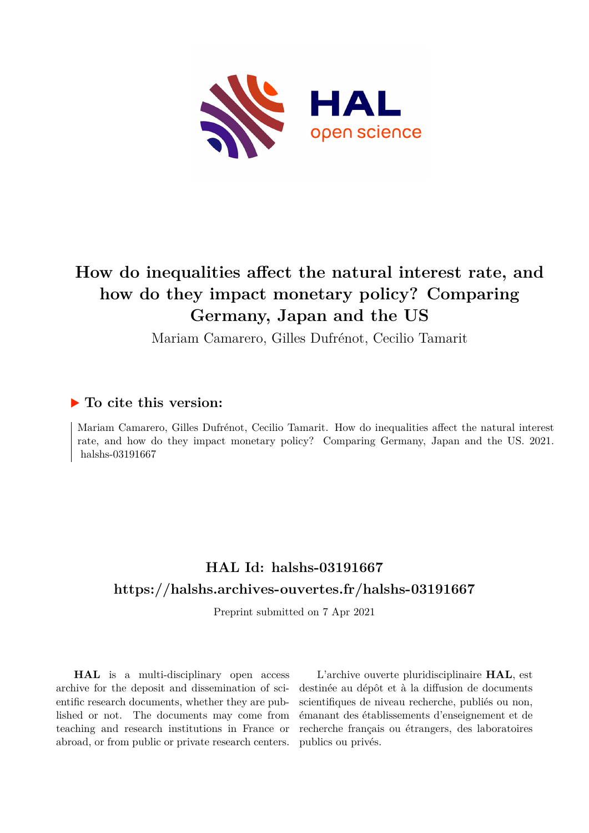

# **How do inequalities affect the natural interest rate, and how do they impact monetary policy? Comparing Germany, Japan and the US**

Mariam Camarero, Gilles Dufrénot, Cecilio Tamarit

### **To cite this version:**

Mariam Camarero, Gilles Dufrénot, Cecilio Tamarit. How do inequalities affect the natural interest rate, and how do they impact monetary policy? Comparing Germany, Japan and the US. 2021. halshs-03191667

### **HAL Id: halshs-03191667 <https://halshs.archives-ouvertes.fr/halshs-03191667>**

Preprint submitted on 7 Apr 2021

**HAL** is a multi-disciplinary open access archive for the deposit and dissemination of scientific research documents, whether they are published or not. The documents may come from teaching and research institutions in France or abroad, or from public or private research centers.

L'archive ouverte pluridisciplinaire **HAL**, est destinée au dépôt et à la diffusion de documents scientifiques de niveau recherche, publiés ou non, émanant des établissements d'enseignement et de recherche français ou étrangers, des laboratoires publics ou privés.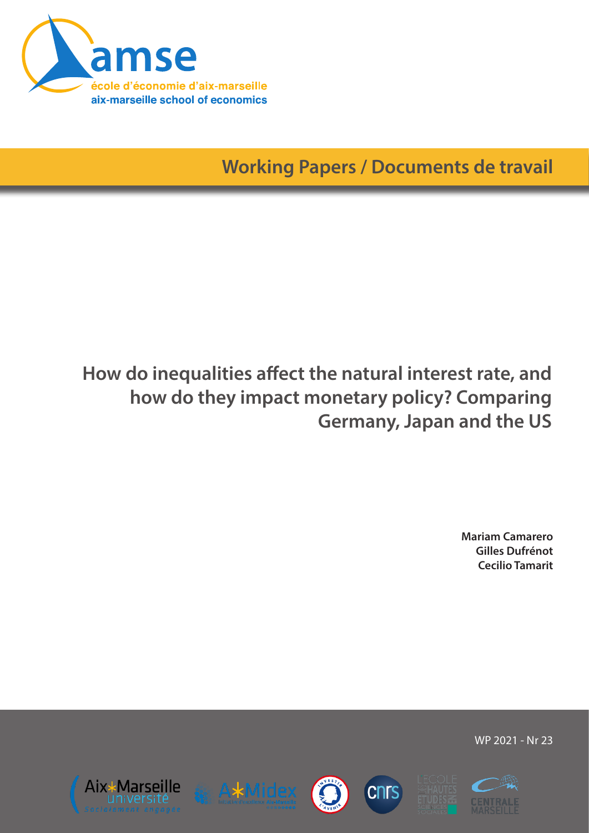

**Working Papers / Documents de travail**

# **How do inequalities affect the natural interest rate, and how do they impact monetary policy? Comparing Germany, Japan and the US**

**Mariam Camarero Gilles Dufrénot Cecilio Tamarit**

WP 2021 - Nr 23











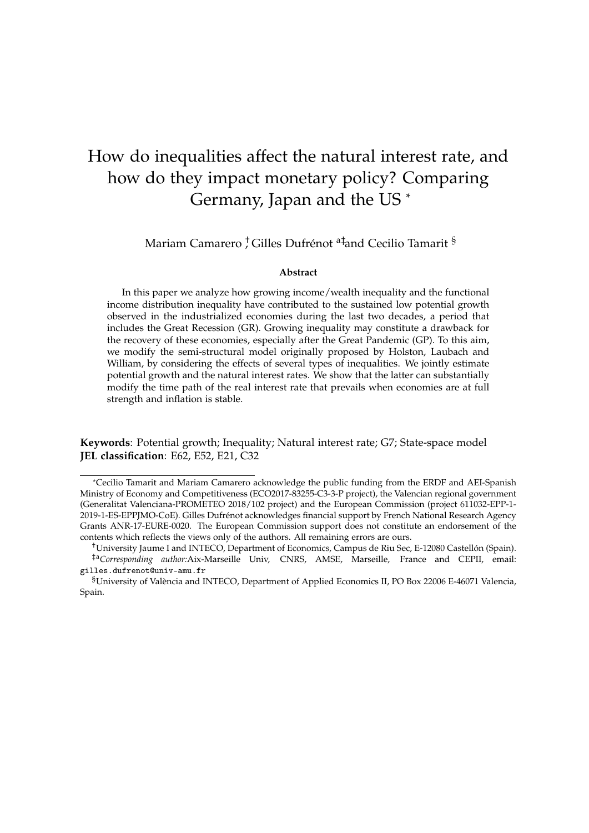## How do inequalities affect the natural interest rate, and how do they impact monetary policy? Comparing Germany, Japan and the US \*

Mariam Camarero <sup>†</sup> Gilles Dufrénot <sup>a‡</sup>and Cecilio Tamarit <sup>§</sup>

#### **Abstract**

In this paper we analyze how growing income/wealth inequality and the functional income distribution inequality have contributed to the sustained low potential growth observed in the industrialized economies during the last two decades, a period that includes the Great Recession (GR). Growing inequality may constitute a drawback for the recovery of these economies, especially after the Great Pandemic (GP). To this aim, we modify the semi-structural model originally proposed by Holston, Laubach and William, by considering the effects of several types of inequalities. We jointly estimate potential growth and the natural interest rates. We show that the latter can substantially modify the time path of the real interest rate that prevails when economies are at full strength and inflation is stable.

**Keywords**: Potential growth; Inequality; Natural interest rate; G7; State-space model **JEL classification**: E62, E52, E21, C32

<sup>\*</sup>Cecilio Tamarit and Mariam Camarero acknowledge the public funding from the ERDF and AEI-Spanish Ministry of Economy and Competitiveness (ECO2017-83255-C3-3-P project), the Valencian regional government (Generalitat Valenciana-PROMETEO 2018/102 project) and the European Commission (project 611032-EPP-1- 2019-1-ES-EPPJMO-CoE). Gilles Dufrénot acknowledges financial support by French National Research Agency Grants ANR-17-EURE-0020. The European Commission support does not constitute an endorsement of the contents which reflects the views only of the authors. All remaining errors are ours.

<sup>†</sup>University Jaume I and INTECO, Department of Economics, Campus de Riu Sec, E-12080 Castellón (Spain). ‡a*Corresponding author:*Aix-Marseille Univ, CNRS, AMSE, Marseille, France and CEPII, email: gilles.dufrenot@univ-amu.fr

<sup>§</sup>University of València and INTECO, Department of Applied Economics II, PO Box 22006 E-46071 Valencia, Spain.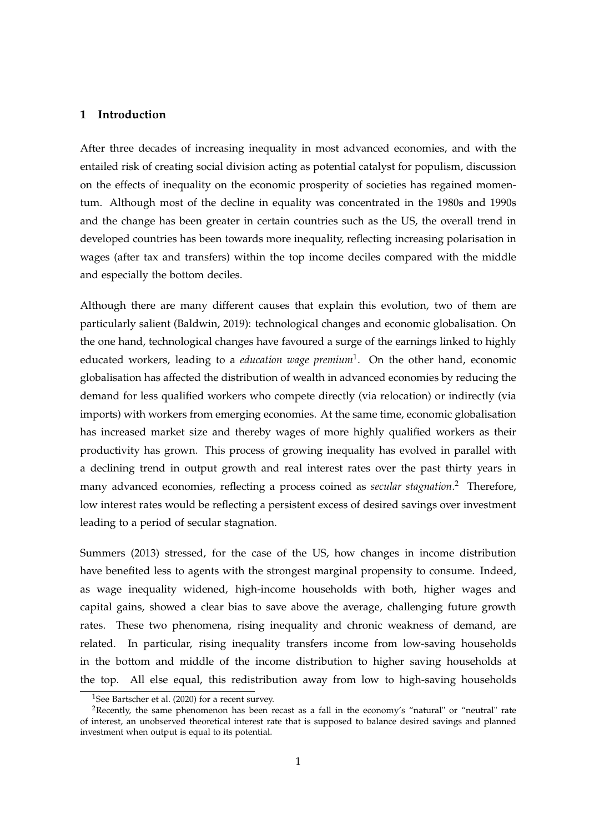#### **1 Introduction**

After three decades of increasing inequality in most advanced economies, and with the entailed risk of creating social division acting as potential catalyst for populism, discussion on the effects of inequality on the economic prosperity of societies has regained momentum. Although most of the decline in equality was concentrated in the 1980s and 1990s and the change has been greater in certain countries such as the US, the overall trend in developed countries has been towards more inequality, reflecting increasing polarisation in wages (after tax and transfers) within the top income deciles compared with the middle and especially the bottom deciles.

Although there are many different causes that explain this evolution, two of them are particularly salient (Baldwin, 2019): technological changes and economic globalisation. On the one hand, technological changes have favoured a surge of the earnings linked to highly educated workers, leading to a *education wage premium*1 . On the other hand, economic globalisation has affected the distribution of wealth in advanced economies by reducing the demand for less qualified workers who compete directly (via relocation) or indirectly (via imports) with workers from emerging economies. At the same time, economic globalisation has increased market size and thereby wages of more highly qualified workers as their productivity has grown. This process of growing inequality has evolved in parallel with a declining trend in output growth and real interest rates over the past thirty years in many advanced economies, reflecting a process coined as *secular stagnation*. 2 Therefore, low interest rates would be reflecting a persistent excess of desired savings over investment leading to a period of secular stagnation.

Summers (2013) stressed, for the case of the US, how changes in income distribution have benefited less to agents with the strongest marginal propensity to consume. Indeed, as wage inequality widened, high-income households with both, higher wages and capital gains, showed a clear bias to save above the average, challenging future growth rates. These two phenomena, rising inequality and chronic weakness of demand, are related. In particular, rising inequality transfers income from low-saving households in the bottom and middle of the income distribution to higher saving households at the top. All else equal, this redistribution away from low to high-saving households

<sup>&</sup>lt;sup>1</sup>See Bartscher et al. (2020) for a recent survey.

<sup>&</sup>lt;sup>2</sup>Recently, the same phenomenon has been recast as a fall in the economy's "natural" or "neutral" rate of interest, an unobserved theoretical interest rate that is supposed to balance desired savings and planned investment when output is equal to its potential.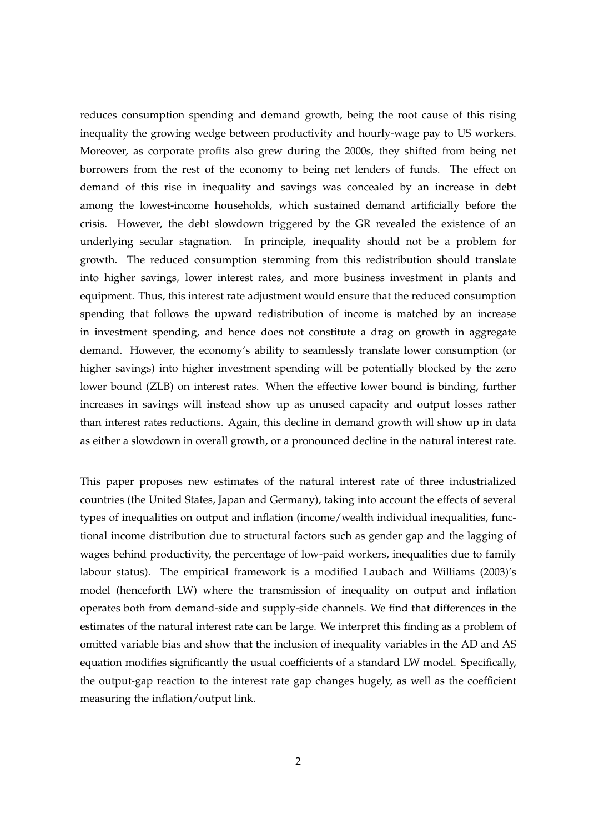reduces consumption spending and demand growth, being the root cause of this rising inequality the growing wedge between productivity and hourly-wage pay to US workers. Moreover, as corporate profits also grew during the 2000s, they shifted from being net borrowers from the rest of the economy to being net lenders of funds. The effect on demand of this rise in inequality and savings was concealed by an increase in debt among the lowest-income households, which sustained demand artificially before the crisis. However, the debt slowdown triggered by the GR revealed the existence of an underlying secular stagnation. In principle, inequality should not be a problem for growth. The reduced consumption stemming from this redistribution should translate into higher savings, lower interest rates, and more business investment in plants and equipment. Thus, this interest rate adjustment would ensure that the reduced consumption spending that follows the upward redistribution of income is matched by an increase in investment spending, and hence does not constitute a drag on growth in aggregate demand. However, the economy's ability to seamlessly translate lower consumption (or higher savings) into higher investment spending will be potentially blocked by the zero lower bound (ZLB) on interest rates. When the effective lower bound is binding, further increases in savings will instead show up as unused capacity and output losses rather than interest rates reductions. Again, this decline in demand growth will show up in data as either a slowdown in overall growth, or a pronounced decline in the natural interest rate.

This paper proposes new estimates of the natural interest rate of three industrialized countries (the United States, Japan and Germany), taking into account the effects of several types of inequalities on output and inflation (income/wealth individual inequalities, functional income distribution due to structural factors such as gender gap and the lagging of wages behind productivity, the percentage of low-paid workers, inequalities due to family labour status). The empirical framework is a modified Laubach and Williams (2003)'s model (henceforth LW) where the transmission of inequality on output and inflation operates both from demand-side and supply-side channels. We find that differences in the estimates of the natural interest rate can be large. We interpret this finding as a problem of omitted variable bias and show that the inclusion of inequality variables in the AD and AS equation modifies significantly the usual coefficients of a standard LW model. Specifically, the output-gap reaction to the interest rate gap changes hugely, as well as the coefficient measuring the inflation/output link.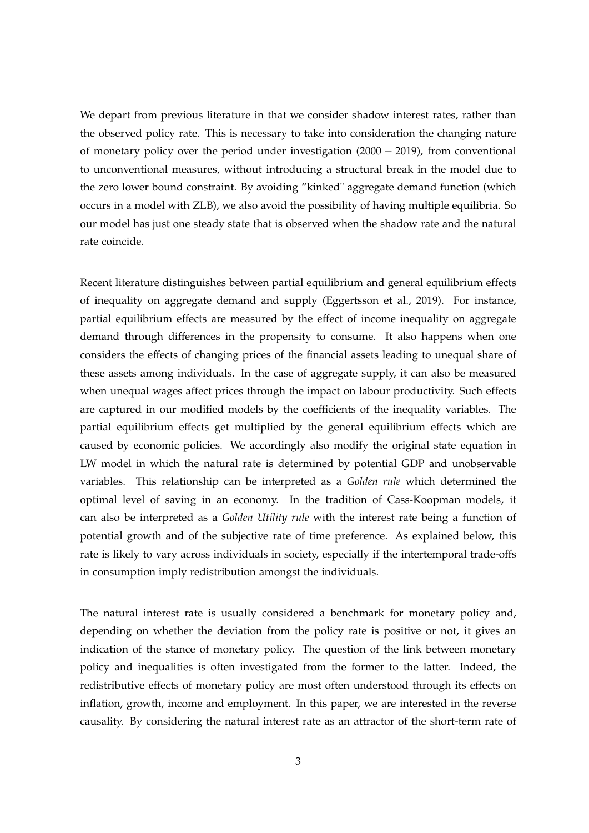We depart from previous literature in that we consider shadow interest rates, rather than the observed policy rate. This is necessary to take into consideration the changing nature of monetary policy over the period under investigation (2000 − 2019), from conventional to unconventional measures, without introducing a structural break in the model due to the zero lower bound constraint. By avoiding "kinked" aggregate demand function (which occurs in a model with ZLB), we also avoid the possibility of having multiple equilibria. So our model has just one steady state that is observed when the shadow rate and the natural rate coincide.

Recent literature distinguishes between partial equilibrium and general equilibrium effects of inequality on aggregate demand and supply (Eggertsson et al., 2019). For instance, partial equilibrium effects are measured by the effect of income inequality on aggregate demand through differences in the propensity to consume. It also happens when one considers the effects of changing prices of the financial assets leading to unequal share of these assets among individuals. In the case of aggregate supply, it can also be measured when unequal wages affect prices through the impact on labour productivity. Such effects are captured in our modified models by the coefficients of the inequality variables. The partial equilibrium effects get multiplied by the general equilibrium effects which are caused by economic policies. We accordingly also modify the original state equation in LW model in which the natural rate is determined by potential GDP and unobservable variables. This relationship can be interpreted as a *Golden rule* which determined the optimal level of saving in an economy. In the tradition of Cass-Koopman models, it can also be interpreted as a *Golden Utility rule* with the interest rate being a function of potential growth and of the subjective rate of time preference. As explained below, this rate is likely to vary across individuals in society, especially if the intertemporal trade-offs in consumption imply redistribution amongst the individuals.

The natural interest rate is usually considered a benchmark for monetary policy and, depending on whether the deviation from the policy rate is positive or not, it gives an indication of the stance of monetary policy. The question of the link between monetary policy and inequalities is often investigated from the former to the latter. Indeed, the redistributive effects of monetary policy are most often understood through its effects on inflation, growth, income and employment. In this paper, we are interested in the reverse causality. By considering the natural interest rate as an attractor of the short-term rate of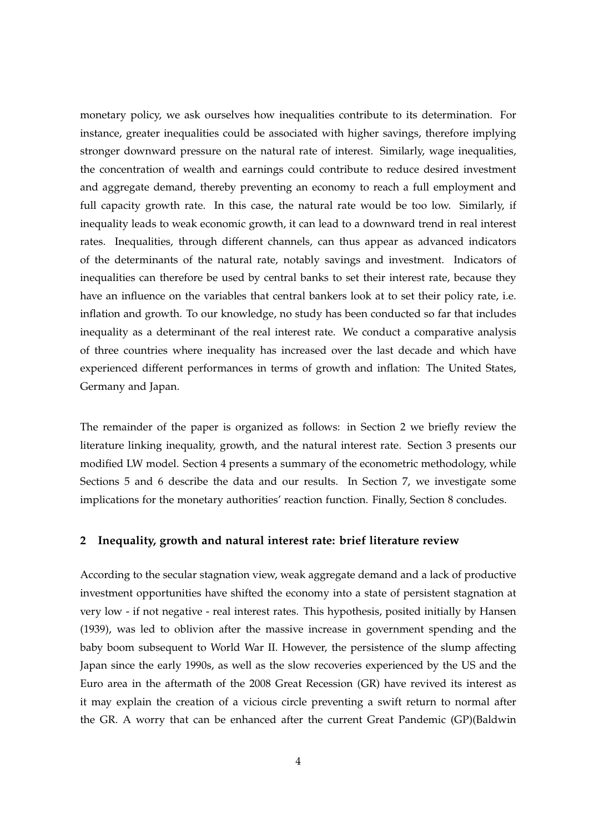monetary policy, we ask ourselves how inequalities contribute to its determination. For instance, greater inequalities could be associated with higher savings, therefore implying stronger downward pressure on the natural rate of interest. Similarly, wage inequalities, the concentration of wealth and earnings could contribute to reduce desired investment and aggregate demand, thereby preventing an economy to reach a full employment and full capacity growth rate. In this case, the natural rate would be too low. Similarly, if inequality leads to weak economic growth, it can lead to a downward trend in real interest rates. Inequalities, through different channels, can thus appear as advanced indicators of the determinants of the natural rate, notably savings and investment. Indicators of inequalities can therefore be used by central banks to set their interest rate, because they have an influence on the variables that central bankers look at to set their policy rate, i.e. inflation and growth. To our knowledge, no study has been conducted so far that includes inequality as a determinant of the real interest rate. We conduct a comparative analysis of three countries where inequality has increased over the last decade and which have experienced different performances in terms of growth and inflation: The United States, Germany and Japan.

The remainder of the paper is organized as follows: in Section 2 we briefly review the literature linking inequality, growth, and the natural interest rate. Section 3 presents our modified LW model. Section 4 presents a summary of the econometric methodology, while Sections 5 and 6 describe the data and our results. In Section 7, we investigate some implications for the monetary authorities' reaction function. Finally, Section 8 concludes.

#### **2 Inequality, growth and natural interest rate: brief literature review**

According to the secular stagnation view, weak aggregate demand and a lack of productive investment opportunities have shifted the economy into a state of persistent stagnation at very low - if not negative - real interest rates. This hypothesis, posited initially by Hansen (1939), was led to oblivion after the massive increase in government spending and the baby boom subsequent to World War II. However, the persistence of the slump affecting Japan since the early 1990s, as well as the slow recoveries experienced by the US and the Euro area in the aftermath of the 2008 Great Recession (GR) have revived its interest as it may explain the creation of a vicious circle preventing a swift return to normal after the GR. A worry that can be enhanced after the current Great Pandemic (GP)(Baldwin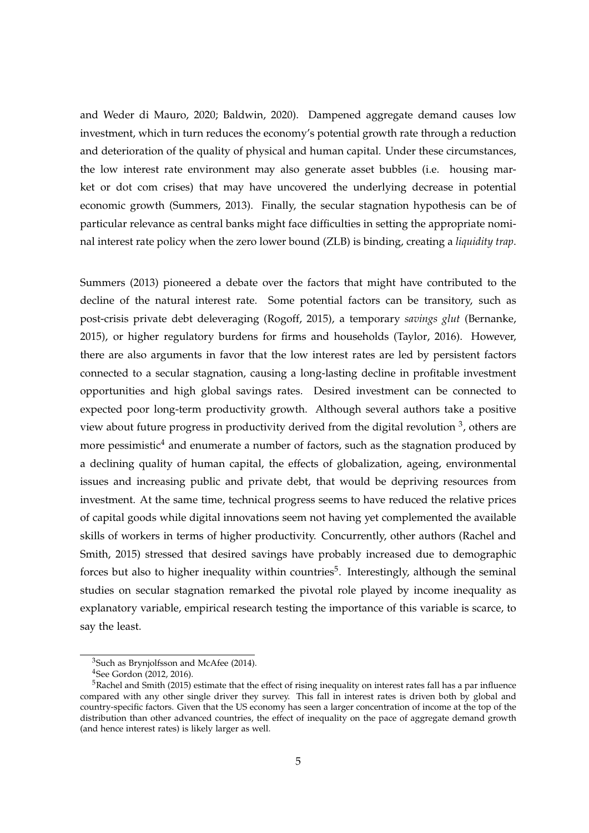and Weder di Mauro, 2020; Baldwin, 2020). Dampened aggregate demand causes low investment, which in turn reduces the economy's potential growth rate through a reduction and deterioration of the quality of physical and human capital. Under these circumstances, the low interest rate environment may also generate asset bubbles (i.e. housing market or dot com crises) that may have uncovered the underlying decrease in potential economic growth (Summers, 2013). Finally, the secular stagnation hypothesis can be of particular relevance as central banks might face difficulties in setting the appropriate nominal interest rate policy when the zero lower bound (ZLB) is binding, creating a *liquidity trap*.

Summers (2013) pioneered a debate over the factors that might have contributed to the decline of the natural interest rate. Some potential factors can be transitory, such as post-crisis private debt deleveraging (Rogoff, 2015), a temporary *savings glut* (Bernanke, 2015), or higher regulatory burdens for firms and households (Taylor, 2016). However, there are also arguments in favor that the low interest rates are led by persistent factors connected to a secular stagnation, causing a long-lasting decline in profitable investment opportunities and high global savings rates. Desired investment can be connected to expected poor long-term productivity growth. Although several authors take a positive view about future progress in productivity derived from the digital revolution  $3$ , others are more pessimistic<sup>4</sup> and enumerate a number of factors, such as the stagnation produced by a declining quality of human capital, the effects of globalization, ageing, environmental issues and increasing public and private debt, that would be depriving resources from investment. At the same time, technical progress seems to have reduced the relative prices of capital goods while digital innovations seem not having yet complemented the available skills of workers in terms of higher productivity. Concurrently, other authors (Rachel and Smith, 2015) stressed that desired savings have probably increased due to demographic forces but also to higher inequality within countries<sup>5</sup>. Interestingly, although the seminal studies on secular stagnation remarked the pivotal role played by income inequality as explanatory variable, empirical research testing the importance of this variable is scarce, to say the least.

<sup>3</sup>Such as Brynjolfsson and McAfee (2014).

<sup>4</sup>See Gordon (2012, 2016).

 $5R$ achel and Smith (2015) estimate that the effect of rising inequality on interest rates fall has a par influence compared with any other single driver they survey. This fall in interest rates is driven both by global and country-specific factors. Given that the US economy has seen a larger concentration of income at the top of the distribution than other advanced countries, the effect of inequality on the pace of aggregate demand growth (and hence interest rates) is likely larger as well.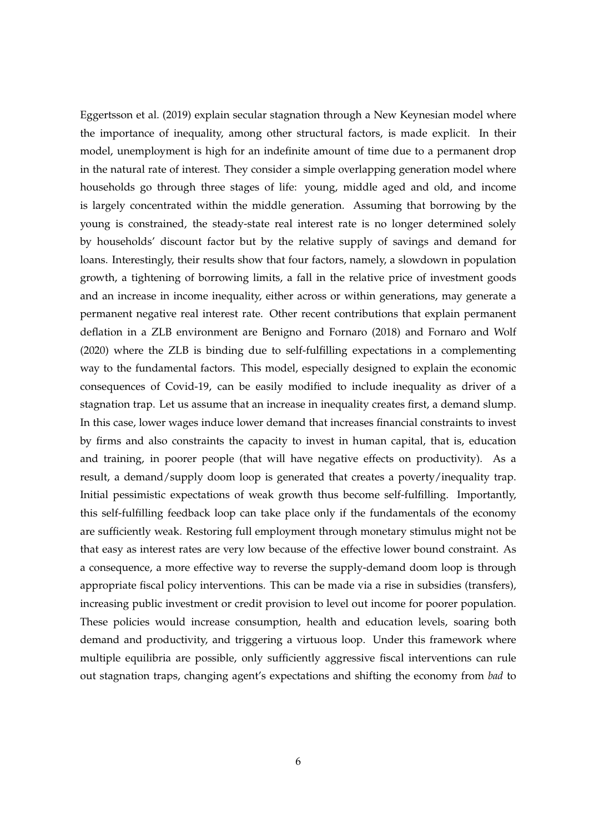Eggertsson et al. (2019) explain secular stagnation through a New Keynesian model where the importance of inequality, among other structural factors, is made explicit. In their model, unemployment is high for an indefinite amount of time due to a permanent drop in the natural rate of interest. They consider a simple overlapping generation model where households go through three stages of life: young, middle aged and old, and income is largely concentrated within the middle generation. Assuming that borrowing by the young is constrained, the steady-state real interest rate is no longer determined solely by households' discount factor but by the relative supply of savings and demand for loans. Interestingly, their results show that four factors, namely, a slowdown in population growth, a tightening of borrowing limits, a fall in the relative price of investment goods and an increase in income inequality, either across or within generations, may generate a permanent negative real interest rate. Other recent contributions that explain permanent deflation in a ZLB environment are Benigno and Fornaro (2018) and Fornaro and Wolf (2020) where the ZLB is binding due to self-fulfilling expectations in a complementing way to the fundamental factors. This model, especially designed to explain the economic consequences of Covid-19, can be easily modified to include inequality as driver of a stagnation trap. Let us assume that an increase in inequality creates first, a demand slump. In this case, lower wages induce lower demand that increases financial constraints to invest by firms and also constraints the capacity to invest in human capital, that is, education and training, in poorer people (that will have negative effects on productivity). As a result, a demand/supply doom loop is generated that creates a poverty/inequality trap. Initial pessimistic expectations of weak growth thus become self-fulfilling. Importantly, this self-fulfilling feedback loop can take place only if the fundamentals of the economy are sufficiently weak. Restoring full employment through monetary stimulus might not be that easy as interest rates are very low because of the effective lower bound constraint. As a consequence, a more effective way to reverse the supply-demand doom loop is through appropriate fiscal policy interventions. This can be made via a rise in subsidies (transfers), increasing public investment or credit provision to level out income for poorer population. These policies would increase consumption, health and education levels, soaring both demand and productivity, and triggering a virtuous loop. Under this framework where multiple equilibria are possible, only sufficiently aggressive fiscal interventions can rule out stagnation traps, changing agent's expectations and shifting the economy from *bad* to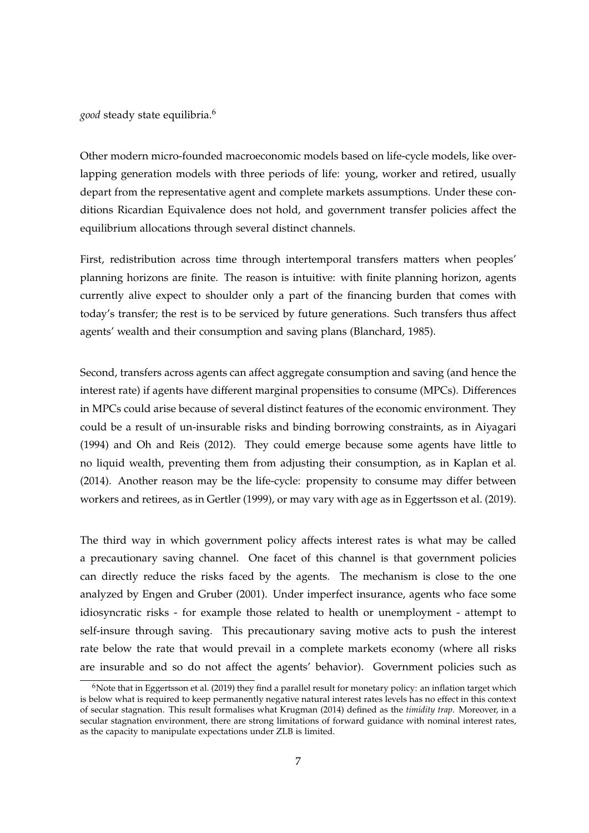*good* steady state equilibria.6

Other modern micro-founded macroeconomic models based on life-cycle models, like overlapping generation models with three periods of life: young, worker and retired, usually depart from the representative agent and complete markets assumptions. Under these conditions Ricardian Equivalence does not hold, and government transfer policies affect the equilibrium allocations through several distinct channels.

First, redistribution across time through intertemporal transfers matters when peoples' planning horizons are finite. The reason is intuitive: with finite planning horizon, agents currently alive expect to shoulder only a part of the financing burden that comes with today's transfer; the rest is to be serviced by future generations. Such transfers thus affect agents' wealth and their consumption and saving plans (Blanchard, 1985).

Second, transfers across agents can affect aggregate consumption and saving (and hence the interest rate) if agents have different marginal propensities to consume (MPCs). Differences in MPCs could arise because of several distinct features of the economic environment. They could be a result of un-insurable risks and binding borrowing constraints, as in Aiyagari (1994) and Oh and Reis (2012). They could emerge because some agents have little to no liquid wealth, preventing them from adjusting their consumption, as in Kaplan et al. (2014). Another reason may be the life-cycle: propensity to consume may differ between workers and retirees, as in Gertler (1999), or may vary with age as in Eggertsson et al. (2019).

The third way in which government policy affects interest rates is what may be called a precautionary saving channel. One facet of this channel is that government policies can directly reduce the risks faced by the agents. The mechanism is close to the one analyzed by Engen and Gruber (2001). Under imperfect insurance, agents who face some idiosyncratic risks - for example those related to health or unemployment - attempt to self-insure through saving. This precautionary saving motive acts to push the interest rate below the rate that would prevail in a complete markets economy (where all risks are insurable and so do not affect the agents' behavior). Government policies such as

 $6N$ ote that in Eggertsson et al. (2019) they find a parallel result for monetary policy: an inflation target which is below what is required to keep permanently negative natural interest rates levels has no effect in this context of secular stagnation. This result formalises what Krugman (2014) defined as the *timidity trap*. Moreover, in a secular stagnation environment, there are strong limitations of forward guidance with nominal interest rates, as the capacity to manipulate expectations under ZLB is limited.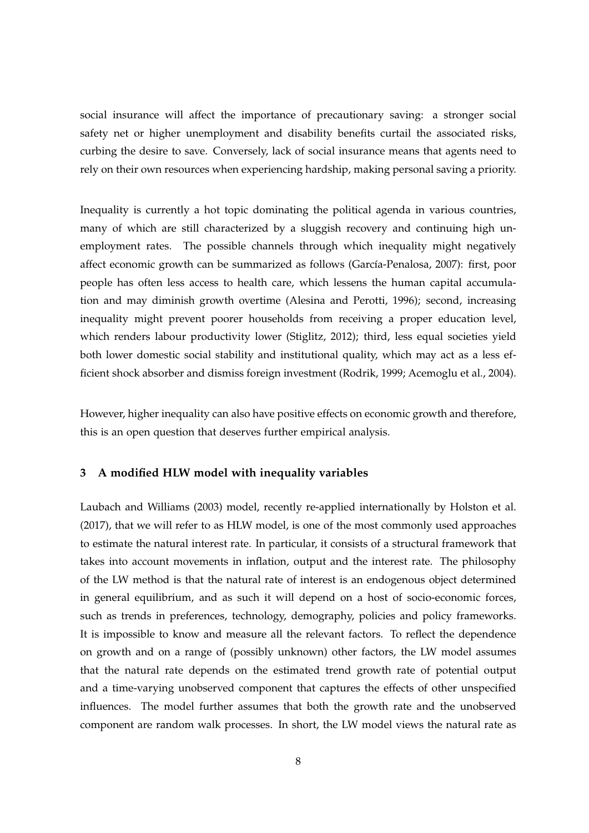social insurance will affect the importance of precautionary saving: a stronger social safety net or higher unemployment and disability benefits curtail the associated risks, curbing the desire to save. Conversely, lack of social insurance means that agents need to rely on their own resources when experiencing hardship, making personal saving a priority.

Inequality is currently a hot topic dominating the political agenda in various countries, many of which are still characterized by a sluggish recovery and continuing high unemployment rates. The possible channels through which inequality might negatively affect economic growth can be summarized as follows (García-Penalosa, 2007): first, poor people has often less access to health care, which lessens the human capital accumulation and may diminish growth overtime (Alesina and Perotti, 1996); second, increasing inequality might prevent poorer households from receiving a proper education level, which renders labour productivity lower (Stiglitz, 2012); third, less equal societies yield both lower domestic social stability and institutional quality, which may act as a less efficient shock absorber and dismiss foreign investment (Rodrik, 1999; Acemoglu et al., 2004).

However, higher inequality can also have positive effects on economic growth and therefore, this is an open question that deserves further empirical analysis.

#### **3 A modified HLW model with inequality variables**

Laubach and Williams (2003) model, recently re-applied internationally by Holston et al. (2017), that we will refer to as HLW model, is one of the most commonly used approaches to estimate the natural interest rate. In particular, it consists of a structural framework that takes into account movements in inflation, output and the interest rate. The philosophy of the LW method is that the natural rate of interest is an endogenous object determined in general equilibrium, and as such it will depend on a host of socio-economic forces, such as trends in preferences, technology, demography, policies and policy frameworks. It is impossible to know and measure all the relevant factors. To reflect the dependence on growth and on a range of (possibly unknown) other factors, the LW model assumes that the natural rate depends on the estimated trend growth rate of potential output and a time-varying unobserved component that captures the effects of other unspecified influences. The model further assumes that both the growth rate and the unobserved component are random walk processes. In short, the LW model views the natural rate as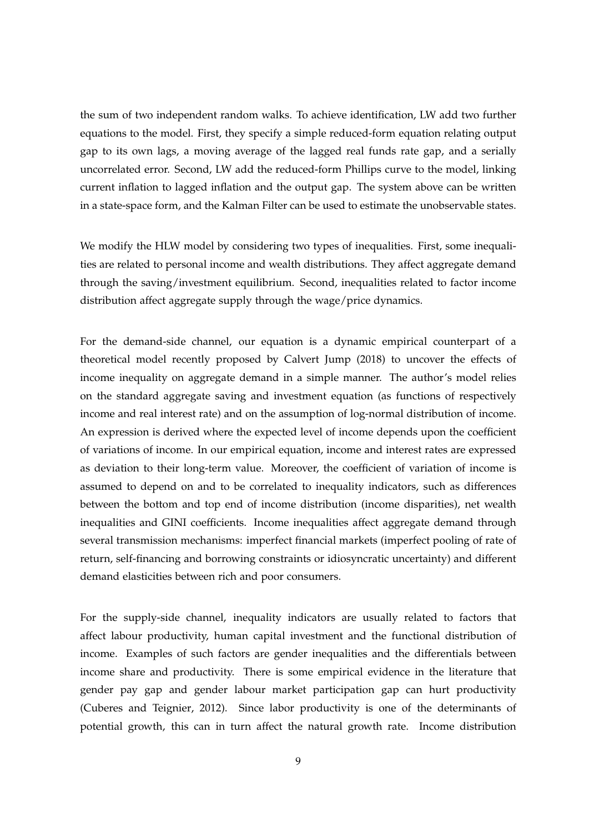the sum of two independent random walks. To achieve identification, LW add two further equations to the model. First, they specify a simple reduced-form equation relating output gap to its own lags, a moving average of the lagged real funds rate gap, and a serially uncorrelated error. Second, LW add the reduced-form Phillips curve to the model, linking current inflation to lagged inflation and the output gap. The system above can be written in a state-space form, and the Kalman Filter can be used to estimate the unobservable states.

We modify the HLW model by considering two types of inequalities. First, some inequalities are related to personal income and wealth distributions. They affect aggregate demand through the saving/investment equilibrium. Second, inequalities related to factor income distribution affect aggregate supply through the wage/price dynamics.

For the demand-side channel, our equation is a dynamic empirical counterpart of a theoretical model recently proposed by Calvert Jump (2018) to uncover the effects of income inequality on aggregate demand in a simple manner. The author's model relies on the standard aggregate saving and investment equation (as functions of respectively income and real interest rate) and on the assumption of log-normal distribution of income. An expression is derived where the expected level of income depends upon the coefficient of variations of income. In our empirical equation, income and interest rates are expressed as deviation to their long-term value. Moreover, the coefficient of variation of income is assumed to depend on and to be correlated to inequality indicators, such as differences between the bottom and top end of income distribution (income disparities), net wealth inequalities and GINI coefficients. Income inequalities affect aggregate demand through several transmission mechanisms: imperfect financial markets (imperfect pooling of rate of return, self-financing and borrowing constraints or idiosyncratic uncertainty) and different demand elasticities between rich and poor consumers.

For the supply-side channel, inequality indicators are usually related to factors that affect labour productivity, human capital investment and the functional distribution of income. Examples of such factors are gender inequalities and the differentials between income share and productivity. There is some empirical evidence in the literature that gender pay gap and gender labour market participation gap can hurt productivity (Cuberes and Teignier, 2012). Since labor productivity is one of the determinants of potential growth, this can in turn affect the natural growth rate. Income distribution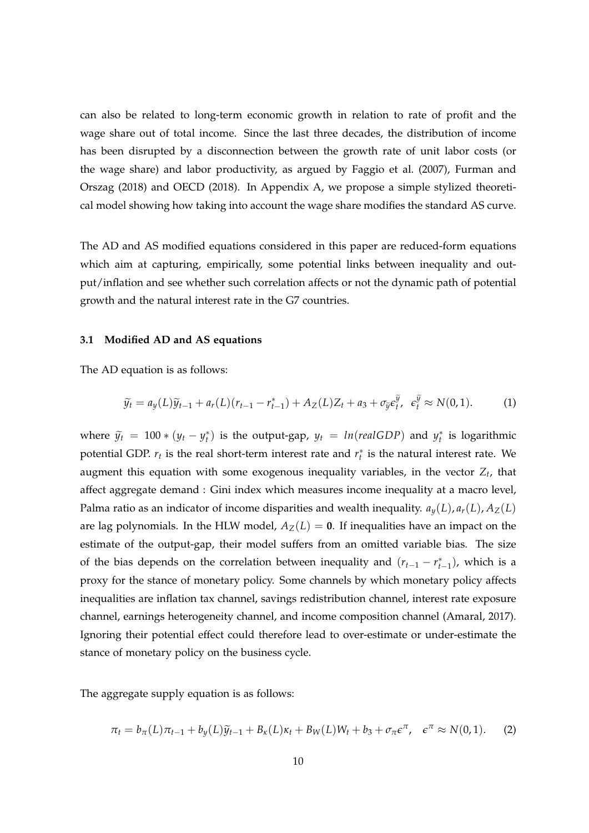can also be related to long-term economic growth in relation to rate of profit and the wage share out of total income. Since the last three decades, the distribution of income has been disrupted by a disconnection between the growth rate of unit labor costs (or the wage share) and labor productivity, as argued by Faggio et al. (2007), Furman and Orszag (2018) and OECD (2018). In Appendix A, we propose a simple stylized theoretical model showing how taking into account the wage share modifies the standard AS curve.

The AD and AS modified equations considered in this paper are reduced-form equations which aim at capturing, empirically, some potential links between inequality and output/inflation and see whether such correlation affects or not the dynamic path of potential growth and the natural interest rate in the G7 countries.

#### **3.1 Modified AD and AS equations**

The AD equation is as follows:

$$
\widetilde{y}_t = a_y(L)\widetilde{y}_{t-1} + a_r(L)(r_{t-1} - r_{t-1}^*) + A_Z(L)Z_t + a_3 + \sigma_{\widetilde{y}}\epsilon_t^{\widetilde{y}}, \quad \epsilon_t^{\widetilde{y}} \approx N(0, 1). \tag{1}
$$

where  $\tilde{y}_t = 100 * (y_t - y_t^*)$  is the output-gap,  $y_t = ln(\text{realGDP})$  and  $y_t^*$  is logarithmic potential GDP.  $r_t$  is the real short-term interest rate and  $r_t^*$  is the natural interest rate. We augment this equation with some exogenous inequality variables, in the vector *Z<sup>t</sup>* , that affect aggregate demand : Gini index which measures income inequality at a macro level, Palma ratio as an indicator of income disparities and wealth inequality.  $a_y(L)$ ,  $a_r(L)$ ,  $A_z(L)$ are lag polynomials. In the HLW model,  $A_Z(L) = 0$ . If inequalities have an impact on the estimate of the output-gap, their model suffers from an omitted variable bias. The size of the bias depends on the correlation between inequality and  $(r_{t-1} - r_{t-1}^*)$ , which is a proxy for the stance of monetary policy. Some channels by which monetary policy affects inequalities are inflation tax channel, savings redistribution channel, interest rate exposure channel, earnings heterogeneity channel, and income composition channel (Amaral, 2017). Ignoring their potential effect could therefore lead to over-estimate or under-estimate the stance of monetary policy on the business cycle.

The aggregate supply equation is as follows:

$$
\pi_t = b_\pi(L)\pi_{t-1} + b_y(L)\widetilde{y}_{t-1} + B_\kappa(L)\kappa_t + B_W(L)W_t + b_3 + \sigma_\pi \epsilon^\pi, \quad \epsilon^\pi \approx N(0,1). \tag{2}
$$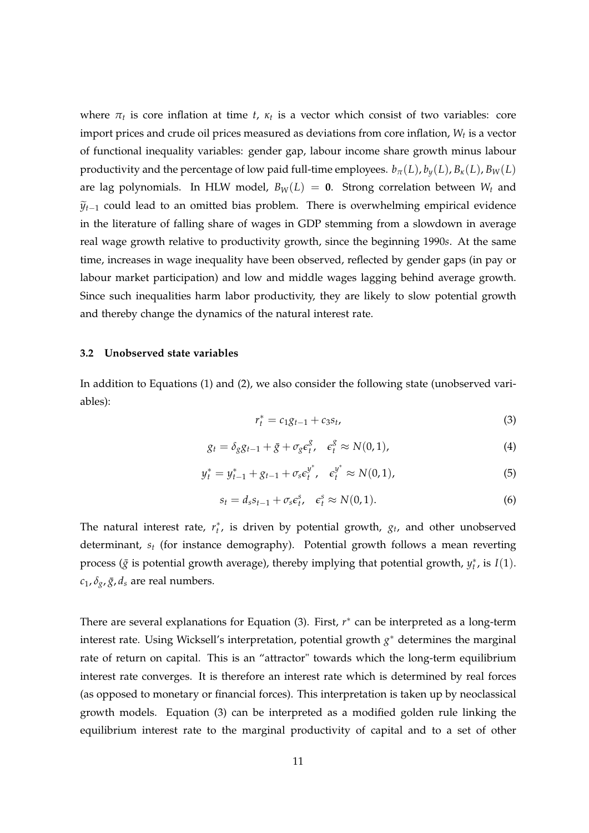where  $\pi_t$  is core inflation at time *t*,  $\kappa_t$  is a vector which consist of two variables: core import prices and crude oil prices measured as deviations from core inflation, *W<sup>t</sup>* is a vector of functional inequality variables: gender gap, labour income share growth minus labour productivity and the percentage of low paid full-time employees.  $b_\pi(L)$ ,  $b_\gamma(L)$ ,  $B_\kappa(L)$ ,  $B_W(L)$ are lag polynomials. In HLW model,  $B_W(L) = 0$ . Strong correlation between  $W_t$  and  $\widetilde{y}_{t-1}$  could lead to an omitted bias problem. There is overwhelming empirical evidence in the literature of falling share of wages in GDP stemming from a slowdown in average real wage growth relative to productivity growth, since the beginning 1990*s*. At the same time, increases in wage inequality have been observed, reflected by gender gaps (in pay or labour market participation) and low and middle wages lagging behind average growth. Since such inequalities harm labor productivity, they are likely to slow potential growth and thereby change the dynamics of the natural interest rate.

#### **3.2 Unobserved state variables**

In addition to Equations (1) and (2), we also consider the following state (unobserved variables):

$$
r_t^* = c_1 g_{t-1} + c_3 s_t, \tag{3}
$$

$$
g_t = \delta_g g_{t-1} + \bar{g} + \sigma_g \epsilon_t^g, \quad \epsilon_t^g \approx N(0, 1), \tag{4}
$$

$$
y_t^* = y_{t-1}^* + g_{t-1} + \sigma_s e_t^{y^*}, \quad e_t^{y^*} \approx N(0, 1), \tag{5}
$$

$$
s_t = d_s s_{t-1} + \sigma_s \varepsilon_t^s, \quad \varepsilon_t^s \approx N(0, 1). \tag{6}
$$

The natural interest rate,  $r_t^*$ , is driven by potential growth,  $g_t$ , and other unobserved determinant, *s<sup>t</sup>* (for instance demography). Potential growth follows a mean reverting process ( $\bar{g}$  is potential growth average), thereby implying that potential growth,  $y_t^*$ , is *I*(1).  $c_1$ ,  $\delta_g$ ,  $\bar{g}$ ,  $d_s$  are real numbers.

There are several explanations for Equation (3). First, *r*<sup>\*</sup> can be interpreted as a long-term interest rate. Using Wicksell's interpretation, potential growth *g* <sup>∗</sup> determines the marginal rate of return on capital. This is an "attractor" towards which the long-term equilibrium interest rate converges. It is therefore an interest rate which is determined by real forces (as opposed to monetary or financial forces). This interpretation is taken up by neoclassical growth models. Equation (3) can be interpreted as a modified golden rule linking the equilibrium interest rate to the marginal productivity of capital and to a set of other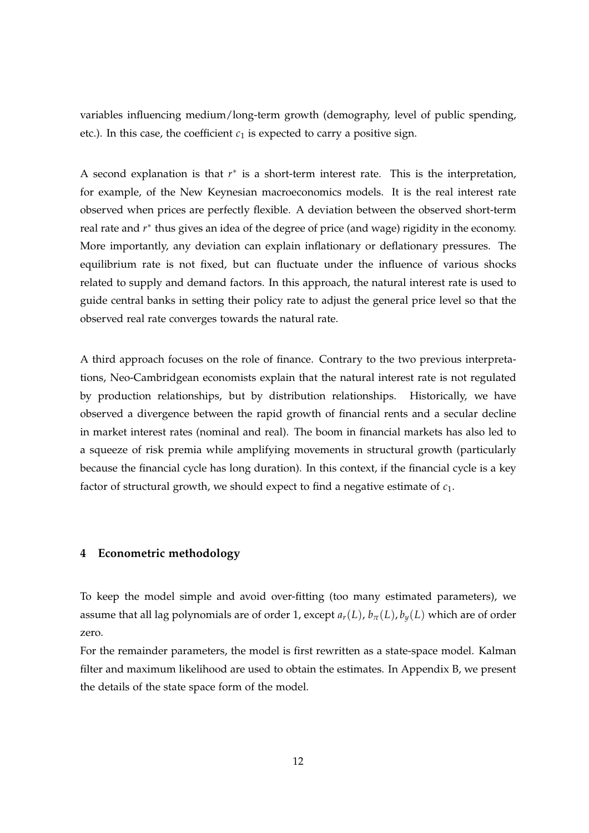variables influencing medium/long-term growth (demography, level of public spending, etc.). In this case, the coefficient  $c_1$  is expected to carry a positive sign.

A second explanation is that  $r^*$  is a short-term interest rate. This is the interpretation, for example, of the New Keynesian macroeconomics models. It is the real interest rate observed when prices are perfectly flexible. A deviation between the observed short-term real rate and *r*<sup>\*</sup> thus gives an idea of the degree of price (and wage) rigidity in the economy. More importantly, any deviation can explain inflationary or deflationary pressures. The equilibrium rate is not fixed, but can fluctuate under the influence of various shocks related to supply and demand factors. In this approach, the natural interest rate is used to guide central banks in setting their policy rate to adjust the general price level so that the observed real rate converges towards the natural rate.

A third approach focuses on the role of finance. Contrary to the two previous interpretations, Neo-Cambridgean economists explain that the natural interest rate is not regulated by production relationships, but by distribution relationships. Historically, we have observed a divergence between the rapid growth of financial rents and a secular decline in market interest rates (nominal and real). The boom in financial markets has also led to a squeeze of risk premia while amplifying movements in structural growth (particularly because the financial cycle has long duration). In this context, if the financial cycle is a key factor of structural growth, we should expect to find a negative estimate of *c*1.

#### **4 Econometric methodology**

To keep the model simple and avoid over-fitting (too many estimated parameters), we assume that all lag polynomials are of order 1, except  $a_r(L)$ ,  $b_\pi(L)$ ,  $b_\nu(L)$  which are of order zero.

For the remainder parameters, the model is first rewritten as a state-space model. Kalman filter and maximum likelihood are used to obtain the estimates. In Appendix B, we present the details of the state space form of the model.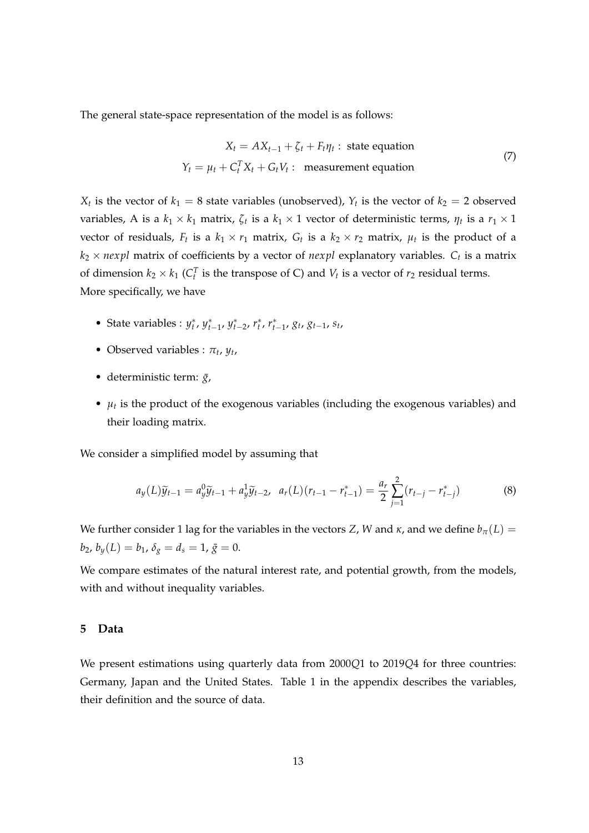The general state-space representation of the model is as follows:

$$
X_t = AX_{t-1} + \zeta_t + F_t \eta_t : \text{ state equation}
$$
  

$$
Y_t = \mu_t + C_t^T X_t + G_t V_t : \text{ measurement equation}
$$
 (7)

 $X_t$  is the vector of  $k_1 = 8$  state variables (unobserved),  $Y_t$  is the vector of  $k_2 = 2$  observed variables, A is a  $k_1 \times k_1$  matrix,  $\zeta_t$  is a  $k_1 \times 1$  vector of deterministic terms,  $\eta_t$  is a  $r_1 \times 1$ vector of residuals,  $F_t$  is a  $k_1 \times r_1$  matrix,  $G_t$  is a  $k_2 \times r_2$  matrix,  $\mu_t$  is the product of a  $k_2 \times newpl$  matrix of coefficients by a vector of  $newpl$  explanatory variables.  $C_t$  is a matrix of dimension  $k_2 \times k_1$  ( $C_t^T$  is the transpose of C) and  $V_t$  is a vector of  $r_2$  residual terms. More specifically, we have

- State variables :  $y_t^*$ ,  $y_{t-1}^*$ ,  $y_{t-2}^*$ ,  $r_t^*$ ,  $r_{t-1}^*$ ,  $g_t$ ,  $g_{t-1}$ ,  $s_t$ ,
- Observed variables :  $\pi_t$ ,  $y_t$ ,
- deterministic term:  $\bar{g}$ ,
- $\mu_t$  is the product of the exogenous variables (including the exogenous variables) and their loading matrix.

We consider a simplified model by assuming that

$$
a_y(L)\widetilde{y}_{t-1} = a_y^0 \widetilde{y}_{t-1} + a_y^1 \widetilde{y}_{t-2}, \ \ a_r(L)(r_{t-1} - r_{t-1}^*) = \frac{a_r}{2} \sum_{j=1}^2 (r_{t-j} - r_{t-j}^*)
$$
(8)

We further consider 1 lag for the variables in the vectors *Z*, *W* and *κ*, and we define  $b<sub>\pi</sub>(L)$  =  $b_2$ ,  $b_y(L) = b_1$ ,  $\delta_g = d_s = 1$ ,  $\bar{g} = 0$ .

We compare estimates of the natural interest rate, and potential growth, from the models, with and without inequality variables.

#### **5 Data**

We present estimations using quarterly data from 2000*Q*1 to 2019*Q*4 for three countries: Germany, Japan and the United States. Table 1 in the appendix describes the variables, their definition and the source of data.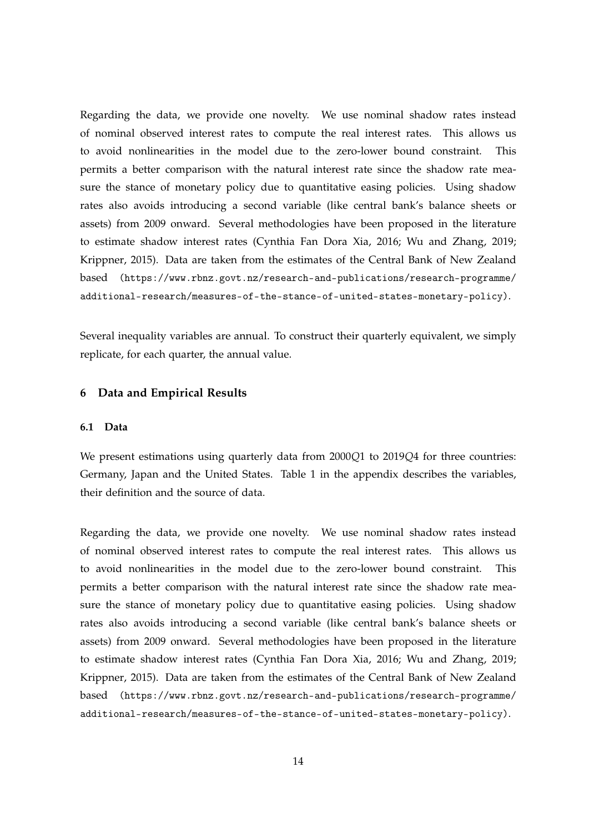Regarding the data, we provide one novelty. We use nominal shadow rates instead of nominal observed interest rates to compute the real interest rates. This allows us to avoid nonlinearities in the model due to the zero-lower bound constraint. This permits a better comparison with the natural interest rate since the shadow rate measure the stance of monetary policy due to quantitative easing policies. Using shadow rates also avoids introducing a second variable (like central bank's balance sheets or assets) from 2009 onward. Several methodologies have been proposed in the literature to estimate shadow interest rates (Cynthia Fan Dora Xia, 2016; Wu and Zhang, 2019; Krippner, 2015). Data are taken from the estimates of the Central Bank of New Zealand based [\(https://www.rbnz.govt.nz/research-and-publications/research-programme/]((https://www.rbnz.govt.nz/research-and-publications/research-programme/additional-research/measures-of-the-stance-of-united-states-monetary-policy)) [additional-research/measures-of-the-stance-of-united-states-monetary-policy\)]((https://www.rbnz.govt.nz/research-and-publications/research-programme/additional-research/measures-of-the-stance-of-united-states-monetary-policy)).

Several inequality variables are annual. To construct their quarterly equivalent, we simply replicate, for each quarter, the annual value.

#### **6 Data and Empirical Results**

#### **6.1 Data**

We present estimations using quarterly data from 2000*Q*1 to 2019*Q*4 for three countries: Germany, Japan and the United States. Table 1 in the appendix describes the variables, their definition and the source of data.

Regarding the data, we provide one novelty. We use nominal shadow rates instead of nominal observed interest rates to compute the real interest rates. This allows us to avoid nonlinearities in the model due to the zero-lower bound constraint. This permits a better comparison with the natural interest rate since the shadow rate measure the stance of monetary policy due to quantitative easing policies. Using shadow rates also avoids introducing a second variable (like central bank's balance sheets or assets) from 2009 onward. Several methodologies have been proposed in the literature to estimate shadow interest rates (Cynthia Fan Dora Xia, 2016; Wu and Zhang, 2019; Krippner, 2015). Data are taken from the estimates of the Central Bank of New Zealand based [\(https://www.rbnz.govt.nz/research-and-publications/research-programme/]((https://www.rbnz.govt.nz/research-and-publications/research-programme/additional-research/measures-of-the-stance-of-united-states-monetary-policy)) [additional-research/measures-of-the-stance-of-united-states-monetary-policy\)]((https://www.rbnz.govt.nz/research-and-publications/research-programme/additional-research/measures-of-the-stance-of-united-states-monetary-policy)).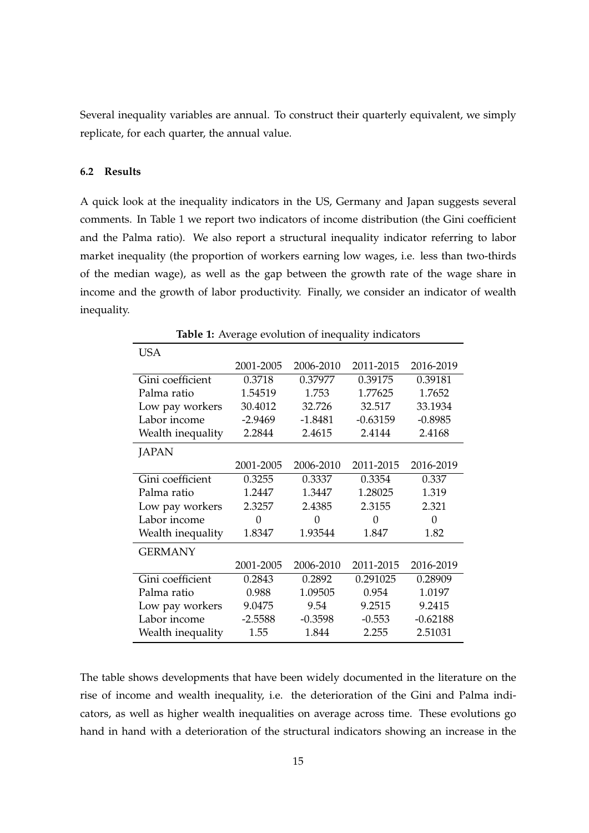Several inequality variables are annual. To construct their quarterly equivalent, we simply replicate, for each quarter, the annual value.

#### **6.2 Results**

A quick look at the inequality indicators in the US, Germany and Japan suggests several comments. In Table 1 we report two indicators of income distribution (the Gini coefficient and the Palma ratio). We also report a structural inequality indicator referring to labor market inequality (the proportion of workers earning low wages, i.e. less than two-thirds of the median wage), as well as the gap between the growth rate of the wage share in income and the growth of labor productivity. Finally, we consider an indicator of wealth inequality.

|                   | <b>Table 1:</b> Average evolution of inequality indicators |           |            |            |
|-------------------|------------------------------------------------------------|-----------|------------|------------|
| <b>USA</b>        |                                                            |           |            |            |
|                   | 2001-2005                                                  | 2006-2010 | 2011-2015  | 2016-2019  |
| Gini coefficient  | 0.3718                                                     | 0.37977   | 0.39175    | 0.39181    |
| Palma ratio       | 1.54519                                                    | 1.753     | 1.77625    | 1.7652     |
| Low pay workers   | 30.4012                                                    | 32.726    | 32.517     | 33.1934    |
| Labor income      | $-2.9469$                                                  | $-1.8481$ | $-0.63159$ | $-0.8985$  |
| Wealth inequality | 2.2844                                                     | 2.4615    | 2.4144     | 2.4168     |
| JAPAN             |                                                            |           |            |            |
|                   | 2001-2005                                                  | 2006-2010 | 2011-2015  | 2016-2019  |
| Gini coefficient  | 0.3255                                                     | 0.3337    | 0.3354     | 0.337      |
| Palma ratio       | 1.2447                                                     | 1.3447    | 1.28025    | 1.319      |
| Low pay workers   | 2.3257                                                     | 2.4385    | 2.3155     | 2.321      |
| Labor income      | 0                                                          | 0         | 0          | 0          |
| Wealth inequality | 1.8347                                                     | 1.93544   | 1.847      | 1.82       |
| <b>GERMANY</b>    |                                                            |           |            |            |
|                   | 2001-2005                                                  | 2006-2010 | 2011-2015  | 2016-2019  |
| Gini coefficient  | 0.2843                                                     | 0.2892    | 0.291025   | 0.28909    |
| Palma ratio       | 0.988                                                      | 1.09505   | 0.954      | 1.0197     |
| Low pay workers   | 9.0475                                                     | 9.54      | 9.2515     | 9.2415     |
| Labor income      | $-2.5588$                                                  | $-0.3598$ | $-0.553$   | $-0.62188$ |
| Wealth inequality | 1.55                                                       | 1.844     | 2.255      | 2.51031    |

The table shows developments that have been widely documented in the literature on the rise of income and wealth inequality, i.e. the deterioration of the Gini and Palma indicators, as well as higher wealth inequalities on average across time. These evolutions go hand in hand with a deterioration of the structural indicators showing an increase in the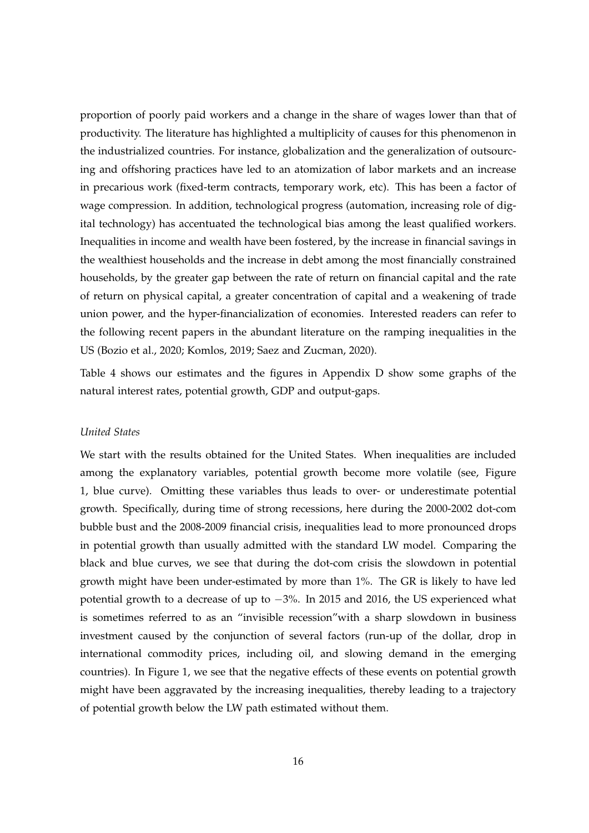proportion of poorly paid workers and a change in the share of wages lower than that of productivity. The literature has highlighted a multiplicity of causes for this phenomenon in the industrialized countries. For instance, globalization and the generalization of outsourcing and offshoring practices have led to an atomization of labor markets and an increase in precarious work (fixed-term contracts, temporary work, etc). This has been a factor of wage compression. In addition, technological progress (automation, increasing role of digital technology) has accentuated the technological bias among the least qualified workers. Inequalities in income and wealth have been fostered, by the increase in financial savings in the wealthiest households and the increase in debt among the most financially constrained households, by the greater gap between the rate of return on financial capital and the rate of return on physical capital, a greater concentration of capital and a weakening of trade union power, and the hyper-financialization of economies. Interested readers can refer to the following recent papers in the abundant literature on the ramping inequalities in the US (Bozio et al., 2020; Komlos, 2019; Saez and Zucman, 2020).

Table 4 shows our estimates and the figures in Appendix D show some graphs of the natural interest rates, potential growth, GDP and output-gaps.

#### *United States*

We start with the results obtained for the United States. When inequalities are included among the explanatory variables, potential growth become more volatile (see, Figure 1, blue curve). Omitting these variables thus leads to over- or underestimate potential growth. Specifically, during time of strong recessions, here during the 2000-2002 dot-com bubble bust and the 2008-2009 financial crisis, inequalities lead to more pronounced drops in potential growth than usually admitted with the standard LW model. Comparing the black and blue curves, we see that during the dot-com crisis the slowdown in potential growth might have been under-estimated by more than 1%. The GR is likely to have led potential growth to a decrease of up to −3%. In 2015 and 2016, the US experienced what is sometimes referred to as an "invisible recession"with a sharp slowdown in business investment caused by the conjunction of several factors (run-up of the dollar, drop in international commodity prices, including oil, and slowing demand in the emerging countries). In Figure 1, we see that the negative effects of these events on potential growth might have been aggravated by the increasing inequalities, thereby leading to a trajectory of potential growth below the LW path estimated without them.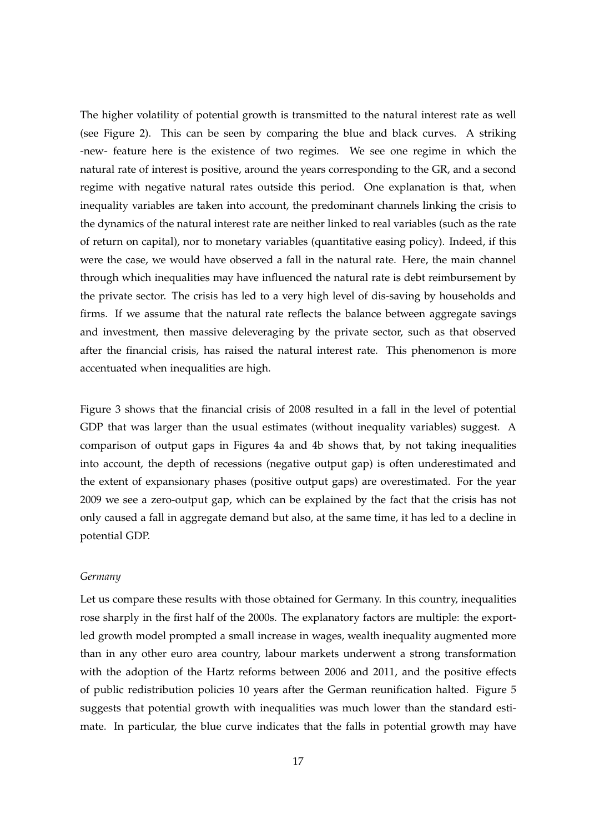The higher volatility of potential growth is transmitted to the natural interest rate as well (see Figure 2). This can be seen by comparing the blue and black curves. A striking -new- feature here is the existence of two regimes. We see one regime in which the natural rate of interest is positive, around the years corresponding to the GR, and a second regime with negative natural rates outside this period. One explanation is that, when inequality variables are taken into account, the predominant channels linking the crisis to the dynamics of the natural interest rate are neither linked to real variables (such as the rate of return on capital), nor to monetary variables (quantitative easing policy). Indeed, if this were the case, we would have observed a fall in the natural rate. Here, the main channel through which inequalities may have influenced the natural rate is debt reimbursement by the private sector. The crisis has led to a very high level of dis-saving by households and firms. If we assume that the natural rate reflects the balance between aggregate savings and investment, then massive deleveraging by the private sector, such as that observed after the financial crisis, has raised the natural interest rate. This phenomenon is more accentuated when inequalities are high.

Figure 3 shows that the financial crisis of 2008 resulted in a fall in the level of potential GDP that was larger than the usual estimates (without inequality variables) suggest. A comparison of output gaps in Figures 4a and 4b shows that, by not taking inequalities into account, the depth of recessions (negative output gap) is often underestimated and the extent of expansionary phases (positive output gaps) are overestimated. For the year 2009 we see a zero-output gap, which can be explained by the fact that the crisis has not only caused a fall in aggregate demand but also, at the same time, it has led to a decline in potential GDP.

#### *Germany*

Let us compare these results with those obtained for Germany. In this country, inequalities rose sharply in the first half of the 2000s. The explanatory factors are multiple: the exportled growth model prompted a small increase in wages, wealth inequality augmented more than in any other euro area country, labour markets underwent a strong transformation with the adoption of the Hartz reforms between 2006 and 2011, and the positive effects of public redistribution policies 10 years after the German reunification halted. Figure 5 suggests that potential growth with inequalities was much lower than the standard estimate. In particular, the blue curve indicates that the falls in potential growth may have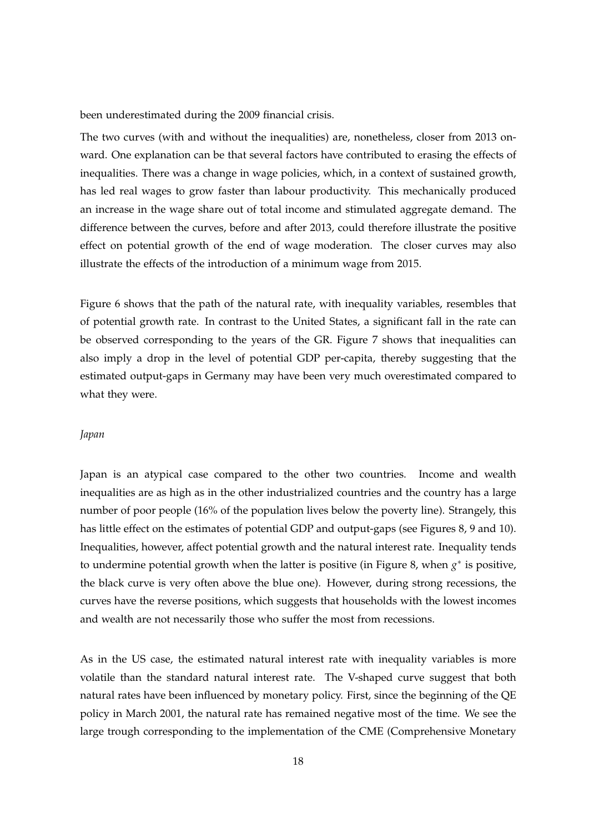been underestimated during the 2009 financial crisis.

The two curves (with and without the inequalities) are, nonetheless, closer from 2013 onward. One explanation can be that several factors have contributed to erasing the effects of inequalities. There was a change in wage policies, which, in a context of sustained growth, has led real wages to grow faster than labour productivity. This mechanically produced an increase in the wage share out of total income and stimulated aggregate demand. The difference between the curves, before and after 2013, could therefore illustrate the positive effect on potential growth of the end of wage moderation. The closer curves may also illustrate the effects of the introduction of a minimum wage from 2015.

Figure 6 shows that the path of the natural rate, with inequality variables, resembles that of potential growth rate. In contrast to the United States, a significant fall in the rate can be observed corresponding to the years of the GR. Figure 7 shows that inequalities can also imply a drop in the level of potential GDP per-capita, thereby suggesting that the estimated output-gaps in Germany may have been very much overestimated compared to what they were.

#### *Japan*

Japan is an atypical case compared to the other two countries. Income and wealth inequalities are as high as in the other industrialized countries and the country has a large number of poor people (16% of the population lives below the poverty line). Strangely, this has little effect on the estimates of potential GDP and output-gaps (see Figures 8, 9 and 10). Inequalities, however, affect potential growth and the natural interest rate. Inequality tends to undermine potential growth when the latter is positive (in Figure 8, when *g*<sup>∗</sup> is positive, the black curve is very often above the blue one). However, during strong recessions, the curves have the reverse positions, which suggests that households with the lowest incomes and wealth are not necessarily those who suffer the most from recessions.

As in the US case, the estimated natural interest rate with inequality variables is more volatile than the standard natural interest rate. The V-shaped curve suggest that both natural rates have been influenced by monetary policy. First, since the beginning of the QE policy in March 2001, the natural rate has remained negative most of the time. We see the large trough corresponding to the implementation of the CME (Comprehensive Monetary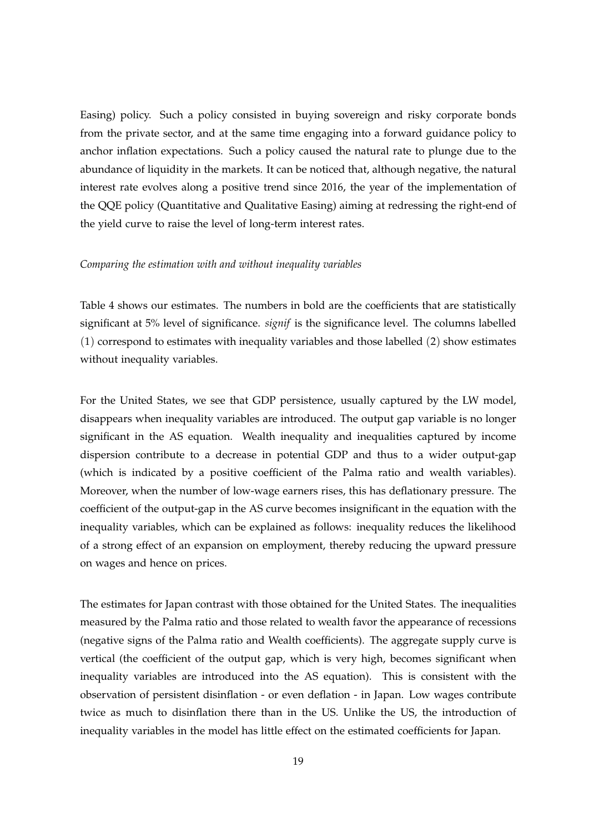Easing) policy. Such a policy consisted in buying sovereign and risky corporate bonds from the private sector, and at the same time engaging into a forward guidance policy to anchor inflation expectations. Such a policy caused the natural rate to plunge due to the abundance of liquidity in the markets. It can be noticed that, although negative, the natural interest rate evolves along a positive trend since 2016, the year of the implementation of the QQE policy (Quantitative and Qualitative Easing) aiming at redressing the right-end of the yield curve to raise the level of long-term interest rates.

#### *Comparing the estimation with and without inequality variables*

Table 4 shows our estimates. The numbers in bold are the coefficients that are statistically significant at 5% level of significance. *signif* is the significance level. The columns labelled (1) correspond to estimates with inequality variables and those labelled (2) show estimates without inequality variables.

For the United States, we see that GDP persistence, usually captured by the LW model, disappears when inequality variables are introduced. The output gap variable is no longer significant in the AS equation. Wealth inequality and inequalities captured by income dispersion contribute to a decrease in potential GDP and thus to a wider output-gap (which is indicated by a positive coefficient of the Palma ratio and wealth variables). Moreover, when the number of low-wage earners rises, this has deflationary pressure. The coefficient of the output-gap in the AS curve becomes insignificant in the equation with the inequality variables, which can be explained as follows: inequality reduces the likelihood of a strong effect of an expansion on employment, thereby reducing the upward pressure on wages and hence on prices.

The estimates for Japan contrast with those obtained for the United States. The inequalities measured by the Palma ratio and those related to wealth favor the appearance of recessions (negative signs of the Palma ratio and Wealth coefficients). The aggregate supply curve is vertical (the coefficient of the output gap, which is very high, becomes significant when inequality variables are introduced into the AS equation). This is consistent with the observation of persistent disinflation - or even deflation - in Japan. Low wages contribute twice as much to disinflation there than in the US. Unlike the US, the introduction of inequality variables in the model has little effect on the estimated coefficients for Japan.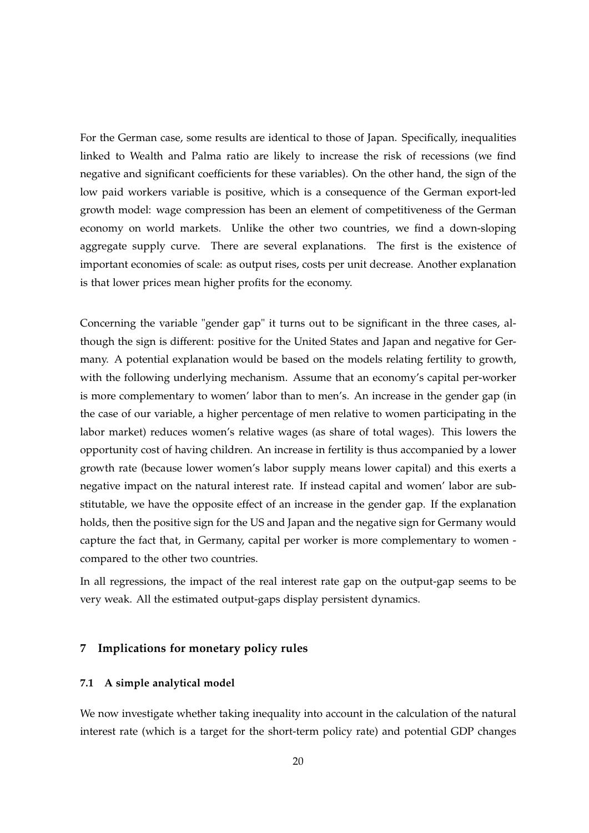For the German case, some results are identical to those of Japan. Specifically, inequalities linked to Wealth and Palma ratio are likely to increase the risk of recessions (we find negative and significant coefficients for these variables). On the other hand, the sign of the low paid workers variable is positive, which is a consequence of the German export-led growth model: wage compression has been an element of competitiveness of the German economy on world markets. Unlike the other two countries, we find a down-sloping aggregate supply curve. There are several explanations. The first is the existence of important economies of scale: as output rises, costs per unit decrease. Another explanation is that lower prices mean higher profits for the economy.

Concerning the variable "gender gap" it turns out to be significant in the three cases, although the sign is different: positive for the United States and Japan and negative for Germany. A potential explanation would be based on the models relating fertility to growth, with the following underlying mechanism. Assume that an economy's capital per-worker is more complementary to women' labor than to men's. An increase in the gender gap (in the case of our variable, a higher percentage of men relative to women participating in the labor market) reduces women's relative wages (as share of total wages). This lowers the opportunity cost of having children. An increase in fertility is thus accompanied by a lower growth rate (because lower women's labor supply means lower capital) and this exerts a negative impact on the natural interest rate. If instead capital and women' labor are substitutable, we have the opposite effect of an increase in the gender gap. If the explanation holds, then the positive sign for the US and Japan and the negative sign for Germany would capture the fact that, in Germany, capital per worker is more complementary to women compared to the other two countries.

In all regressions, the impact of the real interest rate gap on the output-gap seems to be very weak. All the estimated output-gaps display persistent dynamics.

#### **7 Implications for monetary policy rules**

#### **7.1 A simple analytical model**

We now investigate whether taking inequality into account in the calculation of the natural interest rate (which is a target for the short-term policy rate) and potential GDP changes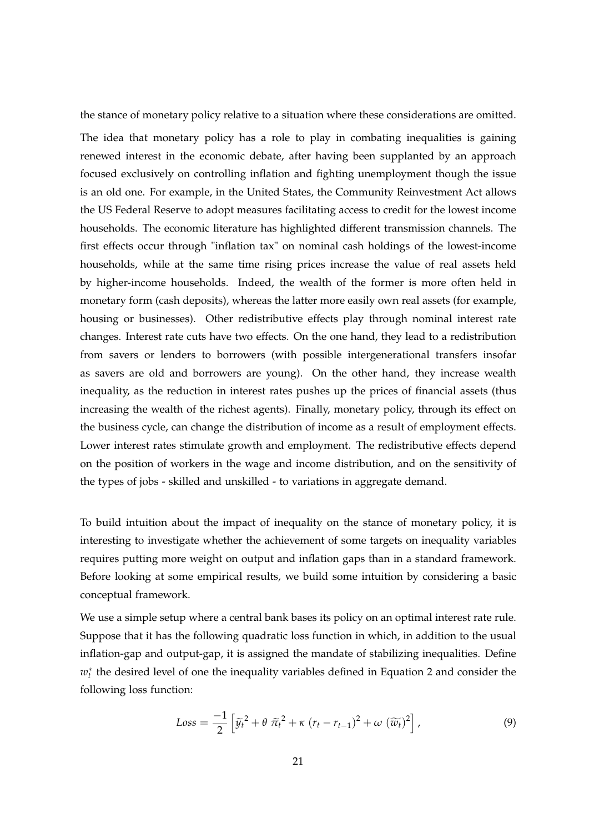the stance of monetary policy relative to a situation where these considerations are omitted. The idea that monetary policy has a role to play in combating inequalities is gaining renewed interest in the economic debate, after having been supplanted by an approach focused exclusively on controlling inflation and fighting unemployment though the issue is an old one. For example, in the United States, the Community Reinvestment Act allows the US Federal Reserve to adopt measures facilitating access to credit for the lowest income households. The economic literature has highlighted different transmission channels. The first effects occur through "inflation tax" on nominal cash holdings of the lowest-income households, while at the same time rising prices increase the value of real assets held by higher-income households. Indeed, the wealth of the former is more often held in monetary form (cash deposits), whereas the latter more easily own real assets (for example, housing or businesses). Other redistributive effects play through nominal interest rate changes. Interest rate cuts have two effects. On the one hand, they lead to a redistribution from savers or lenders to borrowers (with possible intergenerational transfers insofar as savers are old and borrowers are young). On the other hand, they increase wealth inequality, as the reduction in interest rates pushes up the prices of financial assets (thus increasing the wealth of the richest agents). Finally, monetary policy, through its effect on the business cycle, can change the distribution of income as a result of employment effects. Lower interest rates stimulate growth and employment. The redistributive effects depend on the position of workers in the wage and income distribution, and on the sensitivity of the types of jobs - skilled and unskilled - to variations in aggregate demand.

To build intuition about the impact of inequality on the stance of monetary policy, it is interesting to investigate whether the achievement of some targets on inequality variables requires putting more weight on output and inflation gaps than in a standard framework. Before looking at some empirical results, we build some intuition by considering a basic conceptual framework.

We use a simple setup where a central bank bases its policy on an optimal interest rate rule. Suppose that it has the following quadratic loss function in which, in addition to the usual inflation-gap and output-gap, it is assigned the mandate of stabilizing inequalities. Define  $w<sub>t</sub><sup>∗</sup>$  the desired level of one the inequality variables defined in Equation 2 and consider the following loss function:

$$
Loss = \frac{-1}{2} \left[ \widetilde{y}_t^2 + \theta \ \widetilde{\pi}_t^2 + \kappa \ (r_t - r_{t-1})^2 + \omega \ (\widetilde{w}_t)^2 \right],
$$
\n(9)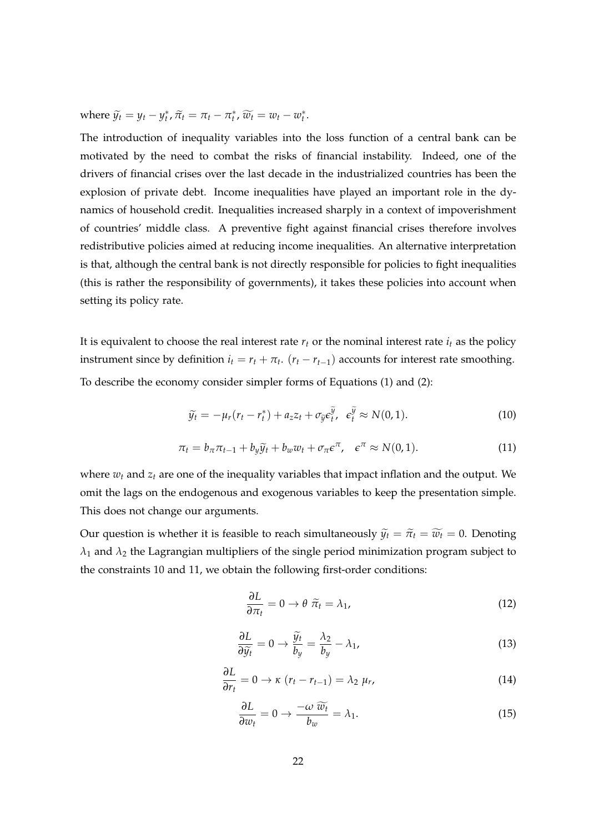where  $\widetilde{y}_t = y_t - y_t^*, \widetilde{\pi}_t = \pi_t - \pi_t^*, \widetilde{w}_t = w_t - w_t^*.$ 

The introduction of inequality variables into the loss function of a central bank can be motivated by the need to combat the risks of financial instability. Indeed, one of the drivers of financial crises over the last decade in the industrialized countries has been the explosion of private debt. Income inequalities have played an important role in the dynamics of household credit. Inequalities increased sharply in a context of impoverishment of countries' middle class. A preventive fight against financial crises therefore involves redistributive policies aimed at reducing income inequalities. An alternative interpretation is that, although the central bank is not directly responsible for policies to fight inequalities (this is rather the responsibility of governments), it takes these policies into account when setting its policy rate.

It is equivalent to choose the real interest rate  $r_t$  or the nominal interest rate  $i_t$  as the policy instrument since by definition  $i_t = r_t + \pi_t$ . ( $r_t - r_{t-1}$ ) accounts for interest rate smoothing. To describe the economy consider simpler forms of Equations (1) and (2):

$$
\widetilde{y}_t = -\mu_r (r_t - r_t^*) + a_z z_t + \sigma_{\widetilde{y}} \varepsilon_t^{\widetilde{y}}, \quad \varepsilon_t^{\widetilde{y}} \approx N(0, 1). \tag{10}
$$

$$
\pi_t = b_\pi \pi_{t-1} + b_y \widetilde{y}_t + b_w w_t + \sigma_\pi \epsilon^\pi, \quad \epsilon^\pi \approx N(0,1). \tag{11}
$$

where *w<sup>t</sup>* and *z<sup>t</sup>* are one of the inequality variables that impact inflation and the output. We omit the lags on the endogenous and exogenous variables to keep the presentation simple. This does not change our arguments.

Our question is whether it is feasible to reach simultaneously  $\tilde{y}_t = \tilde{\pi}_t = \tilde{w}_t = 0$ . Denoting *λ*<sup>1</sup> and *λ*<sup>2</sup> the Lagrangian multipliers of the single period minimization program subject to the constraints 10 and 11, we obtain the following first-order conditions:

$$
\frac{\partial L}{\partial \pi_t} = 0 \to \theta \; \tilde{\pi_t} = \lambda_1,\tag{12}
$$

$$
\frac{\partial L}{\partial \widetilde{y}_t} = 0 \to \frac{\widetilde{y}_t}{b_y} = \frac{\lambda_2}{b_y} - \lambda_1,\tag{13}
$$

$$
\frac{\partial L}{\partial r_t} = 0 \to \kappa \ (r_t - r_{t-1}) = \lambda_2 \ \mu_r,\tag{14}
$$

$$
\frac{\partial L}{\partial w_t} = 0 \to \frac{-\omega \,\widetilde{w_t}}{b_w} = \lambda_1. \tag{15}
$$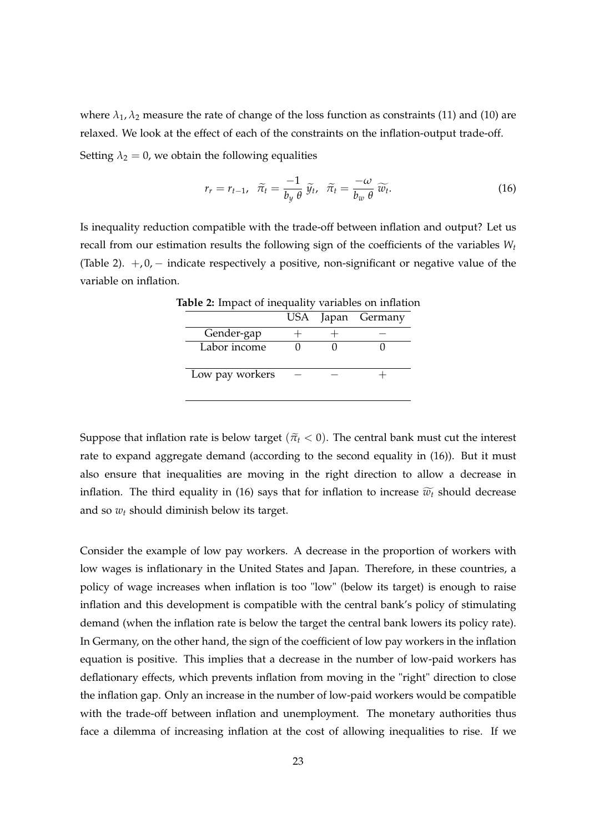where  $\lambda_1$ ,  $\lambda_2$  measure the rate of change of the loss function as constraints (11) and (10) are relaxed. We look at the effect of each of the constraints on the inflation-output trade-off. Setting  $\lambda_2 = 0$ , we obtain the following equalities

$$
r_r = r_{t-1}, \quad \tilde{\pi}_t = \frac{-1}{b_y \theta} \, \tilde{y}_t, \quad \tilde{\pi}_t = \frac{-\omega}{b_w \theta} \, \widetilde{w}_t. \tag{16}
$$

Is inequality reduction compatible with the trade-off between inflation and output? Let us recall from our estimation results the following sign of the coefficients of the variables *W<sup>t</sup>* (Table 2).  $+, 0, -$  indicate respectively a positive, non-significant or negative value of the variable on inflation.

|  | USA Japan Germany |
|--|-------------------|

**Table 2:** Impact of inequality variables on inflation

Suppose that inflation rate is below target ( $\tilde{\pi}_t$  < 0). The central bank must cut the interest rate to expand aggregate demand (according to the second equality in (16)). But it must also ensure that inequalities are moving in the right direction to allow a decrease in inflation. The third equality in (16) says that for inflation to increase  $\widetilde{w_t}$  should decrease and so *w<sup>t</sup>* should diminish below its target.

Consider the example of low pay workers. A decrease in the proportion of workers with low wages is inflationary in the United States and Japan. Therefore, in these countries, a policy of wage increases when inflation is too "low" (below its target) is enough to raise inflation and this development is compatible with the central bank's policy of stimulating demand (when the inflation rate is below the target the central bank lowers its policy rate). In Germany, on the other hand, the sign of the coefficient of low pay workers in the inflation equation is positive. This implies that a decrease in the number of low-paid workers has deflationary effects, which prevents inflation from moving in the "right" direction to close the inflation gap. Only an increase in the number of low-paid workers would be compatible with the trade-off between inflation and unemployment. The monetary authorities thus face a dilemma of increasing inflation at the cost of allowing inequalities to rise. If we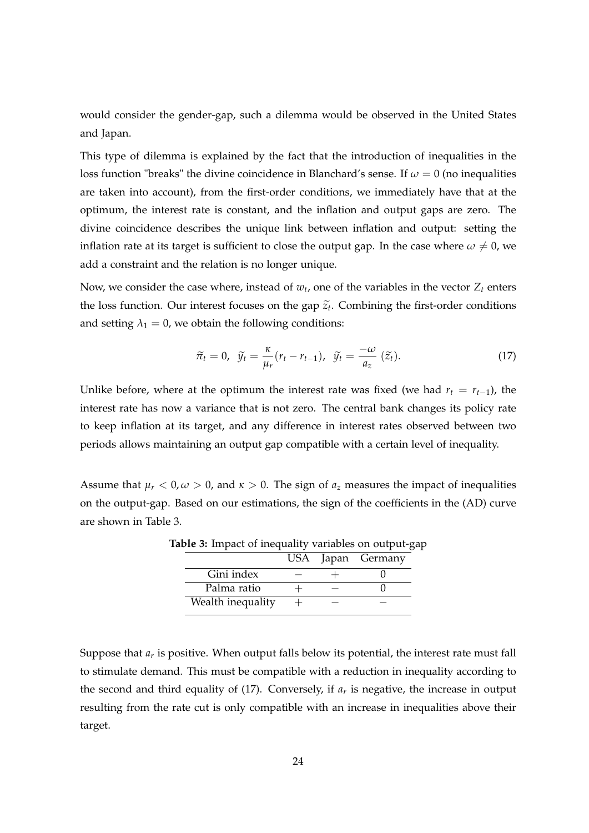would consider the gender-gap, such a dilemma would be observed in the United States and Japan.

This type of dilemma is explained by the fact that the introduction of inequalities in the loss function "breaks" the divine coincidence in Blanchard's sense. If  $\omega = 0$  (no inequalities are taken into account), from the first-order conditions, we immediately have that at the optimum, the interest rate is constant, and the inflation and output gaps are zero. The divine coincidence describes the unique link between inflation and output: setting the inflation rate at its target is sufficient to close the output gap. In the case where  $\omega \neq 0$ , we add a constraint and the relation is no longer unique.

Now, we consider the case where, instead of  $w_t$ , one of the variables in the vector  $Z_t$  enters the loss function. Our interest focuses on the gap  $\tilde{z}_t$ . Combining the first-order conditions and setting  $\lambda_1 = 0$ , we obtain the following conditions:

$$
\widetilde{\pi}_t = 0, \quad \widetilde{y}_t = \frac{\kappa}{\mu_r} (r_t - r_{t-1}), \quad \widetilde{y}_t = \frac{-\omega}{a_z} (\widetilde{z}_t). \tag{17}
$$

Unlike before, where at the optimum the interest rate was fixed (we had  $r_t = r_{t-1}$ ), the interest rate has now a variance that is not zero. The central bank changes its policy rate to keep inflation at its target, and any difference in interest rates observed between two periods allows maintaining an output gap compatible with a certain level of inequality.

Assume that  $\mu_r < 0$ ,  $\omega > 0$ , and  $\kappa > 0$ . The sign of  $a_z$  measures the impact of inequalities on the output-gap. Based on our estimations, the sign of the coefficients in the (AD) curve are shown in Table 3.

|                   |  | USA Japan Germany |
|-------------------|--|-------------------|
| Gini index        |  |                   |
| Palma ratio       |  |                   |
| Wealth inequality |  |                   |

**Table 3:** Impact of inequality variables on output-gap

Suppose that  $a_r$  is positive. When output falls below its potential, the interest rate must fall to stimulate demand. This must be compatible with a reduction in inequality according to the second and third equality of  $(17)$ . Conversely, if  $a<sub>r</sub>$  is negative, the increase in output resulting from the rate cut is only compatible with an increase in inequalities above their target.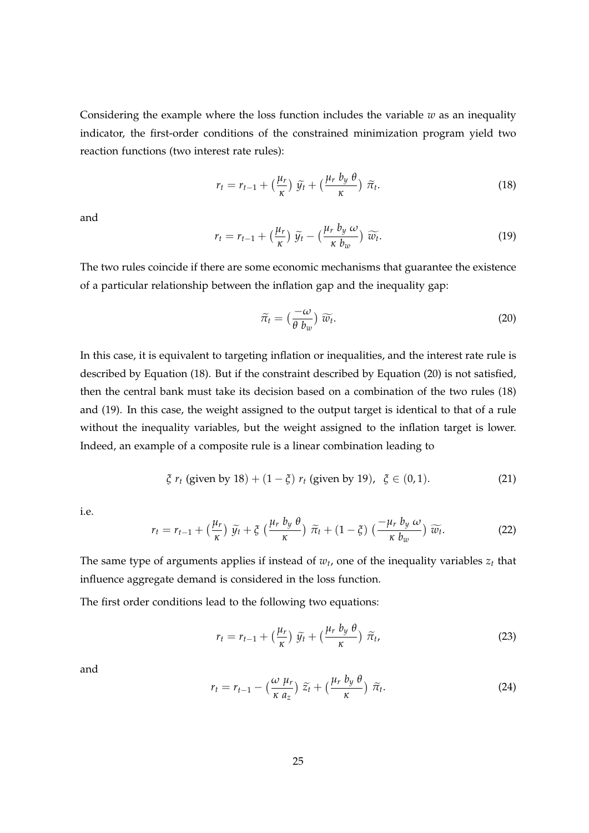Considering the example where the loss function includes the variable  $w$  as an inequality indicator, the first-order conditions of the constrained minimization program yield two reaction functions (two interest rate rules):

$$
r_t = r_{t-1} + \left(\frac{\mu_r}{\kappa}\right) \widetilde{y}_t + \left(\frac{\mu_r b_y \theta}{\kappa}\right) \widetilde{\pi}_t. \tag{18}
$$

and

$$
r_t = r_{t-1} + \left(\frac{\mu_r}{\kappa}\right) \widetilde{y}_t - \left(\frac{\mu_r b_y \omega}{\kappa b_w}\right) \widetilde{w}_t.
$$
 (19)

The two rules coincide if there are some economic mechanisms that guarantee the existence of a particular relationship between the inflation gap and the inequality gap:

$$
\widetilde{\pi}_t = \left(\frac{-\omega}{\theta \ b_w}\right) \widetilde{w}_t. \tag{20}
$$

In this case, it is equivalent to targeting inflation or inequalities, and the interest rate rule is described by Equation (18). But if the constraint described by Equation (20) is not satisfied, then the central bank must take its decision based on a combination of the two rules (18) and (19). In this case, the weight assigned to the output target is identical to that of a rule without the inequality variables, but the weight assigned to the inflation target is lower. Indeed, an example of a composite rule is a linear combination leading to

$$
\xi r_t
$$
 (given by 18) + (1 -  $\xi$ )  $r_t$  (given by 19),  $\xi \in (0, 1)$ . (21)

i.e.

$$
r_t = r_{t-1} + \left(\frac{\mu_r}{\kappa}\right) \widetilde{y}_t + \xi \left(\frac{\mu_r b_y \theta}{\kappa}\right) \widetilde{\pi}_t + (1 - \xi) \left(\frac{-\mu_r b_y \omega}{\kappa b_w}\right) \widetilde{w}_t.
$$
 (22)

The same type of arguments applies if instead of  $w_t$ , one of the inequality variables  $z_t$  that influence aggregate demand is considered in the loss function.

The first order conditions lead to the following two equations:

$$
r_t = r_{t-1} + \left(\frac{\mu_r}{\kappa}\right) \widetilde{y_t} + \left(\frac{\mu_r b_y \theta}{\kappa}\right) \widetilde{\pi}_t, \tag{23}
$$

and

$$
r_t = r_{t-1} - \left(\frac{\omega \mu_r}{\kappa a_z}\right) \widetilde{z}_t + \left(\frac{\mu_r b_y \theta}{\kappa}\right) \widetilde{\pi}_t. \tag{24}
$$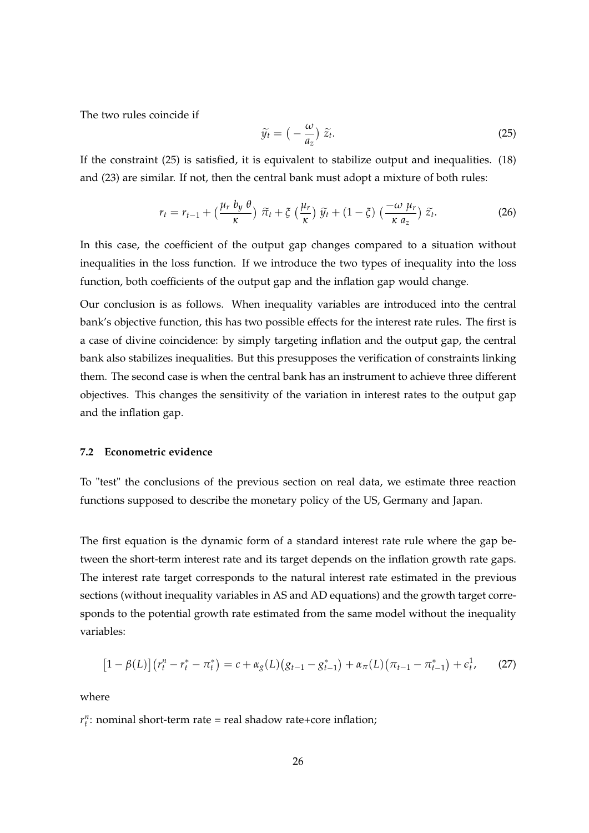The two rules coincide if

$$
\widetilde{y}_t = \left(-\frac{\omega}{a_z}\right) \widetilde{z}_t. \tag{25}
$$

If the constraint (25) is satisfied, it is equivalent to stabilize output and inequalities. (18) and (23) are similar. If not, then the central bank must adopt a mixture of both rules:

$$
r_t = r_{t-1} + \left(\frac{\mu_r b_y \theta}{\kappa}\right) \tilde{\pi}_t + \xi \left(\frac{\mu_r}{\kappa}\right) \tilde{y}_t + (1 - \xi) \left(\frac{-\omega \mu_r}{\kappa a_z}\right) \tilde{z}_t.
$$
 (26)

In this case, the coefficient of the output gap changes compared to a situation without inequalities in the loss function. If we introduce the two types of inequality into the loss function, both coefficients of the output gap and the inflation gap would change.

Our conclusion is as follows. When inequality variables are introduced into the central bank's objective function, this has two possible effects for the interest rate rules. The first is a case of divine coincidence: by simply targeting inflation and the output gap, the central bank also stabilizes inequalities. But this presupposes the verification of constraints linking them. The second case is when the central bank has an instrument to achieve three different objectives. This changes the sensitivity of the variation in interest rates to the output gap and the inflation gap.

#### **7.2 Econometric evidence**

To "test" the conclusions of the previous section on real data, we estimate three reaction functions supposed to describe the monetary policy of the US, Germany and Japan.

The first equation is the dynamic form of a standard interest rate rule where the gap between the short-term interest rate and its target depends on the inflation growth rate gaps. The interest rate target corresponds to the natural interest rate estimated in the previous sections (without inequality variables in AS and AD equations) and the growth target corresponds to the potential growth rate estimated from the same model without the inequality variables:

$$
[1 - \beta(L)] (r_t^n - r_t^* - \pi_t^*) = c + \alpha_g(L) (g_{t-1} - g_{t-1}^*) + \alpha_\pi(L) (\pi_{t-1} - \pi_{t-1}^*) + \epsilon_t^1, \qquad (27)
$$

where

 $r_t^n$ : nominal short-term rate = real shadow rate+core inflation;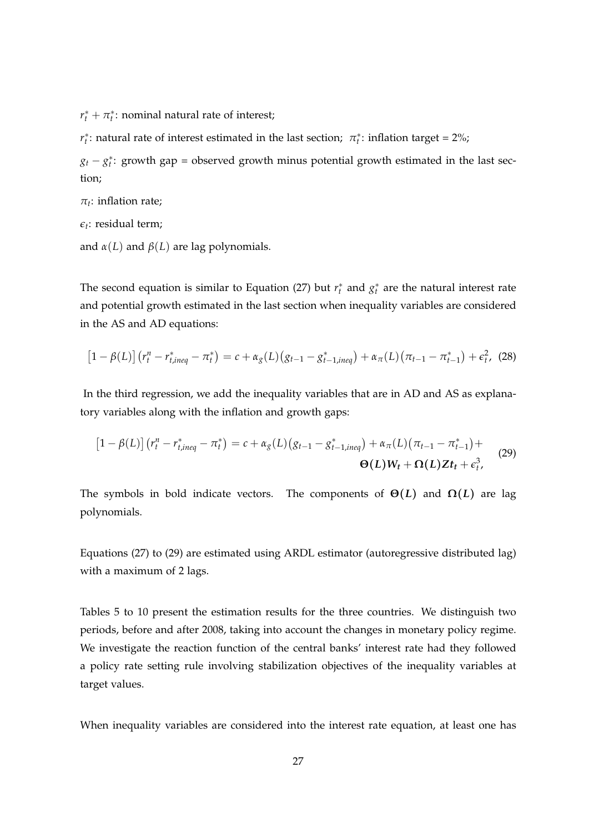$r_t^* + \pi_t^*$ : nominal natural rate of interest;

*r*<sup>\*</sup><sub>*t*</sub>: natural rate of interest estimated in the last section;  $\pi$ <sup>\*</sup><sub>*t*</sub>: inflation target = 2%;

 $g_t - g_t^*$ : growth gap = observed growth minus potential growth estimated in the last section;

 $\pi_t$ : inflation rate;

 $\epsilon_t$ : residual term;

and  $\alpha(L)$  and  $\beta(L)$  are lag polynomials.

The second equation is similar to Equation (27) but  $r_t^*$  and  $g_t^*$  are the natural interest rate and potential growth estimated in the last section when inequality variables are considered in the AS and AD equations:

$$
[1 - \beta(L)] (r_t^n - r_{t,ineq}^* - \pi_t^*) = c + \alpha_g(L) (g_{t-1} - g_{t-1,ineq}^*) + \alpha_\pi(L) (\pi_{t-1} - \pi_{t-1}^*) + \epsilon_t^2, (28)
$$

In the third regression, we add the inequality variables that are in AD and AS as explanatory variables along with the inflation and growth gaps:

$$
[1 - \beta(L)] (r_t^n - r_{t,ineq}^* - \pi_t^*) = c + \alpha_g(L) (g_{t-1} - g_{t-1,ineq}^*) + \alpha_\pi(L) (\pi_{t-1} - \pi_{t-1}^*) + \Theta(L)W_t + \Omega(L)Zt_t + \epsilon_t^3, \qquad (29)
$$

The symbols in bold indicate vectors. The components of  $\Theta(L)$  and  $\Omega(L)$  are lag polynomials.

Equations (27) to (29) are estimated using ARDL estimator (autoregressive distributed lag) with a maximum of 2 lags.

Tables 5 to 10 present the estimation results for the three countries. We distinguish two periods, before and after 2008, taking into account the changes in monetary policy regime. We investigate the reaction function of the central banks' interest rate had they followed a policy rate setting rule involving stabilization objectives of the inequality variables at target values.

When inequality variables are considered into the interest rate equation, at least one has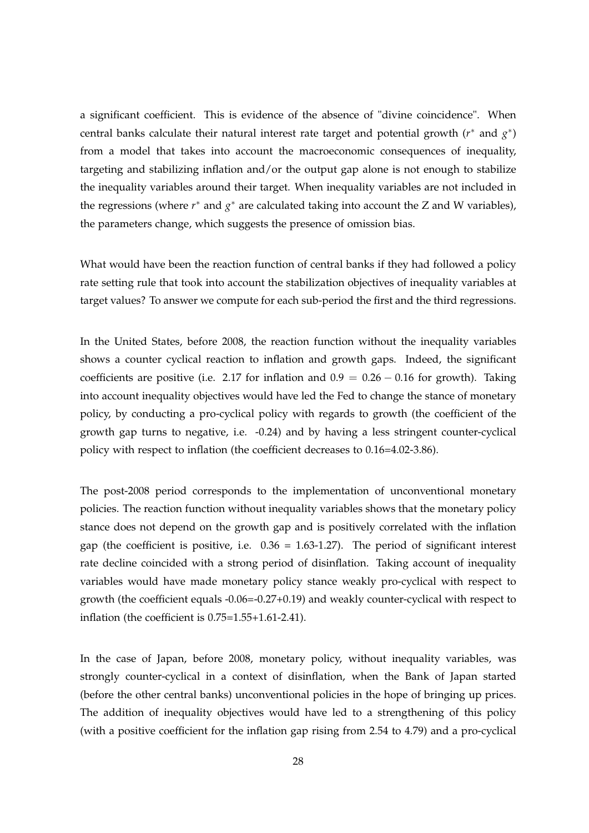a significant coefficient. This is evidence of the absence of "divine coincidence". When central banks calculate their natural interest rate target and potential growth (*r*<sup>\*</sup> and *g*<sup>\*</sup>) from a model that takes into account the macroeconomic consequences of inequality, targeting and stabilizing inflation and/or the output gap alone is not enough to stabilize the inequality variables around their target. When inequality variables are not included in the regressions (where *r*<sup>∗</sup> and *g*<sup>∗</sup> are calculated taking into account the *Z* and *W* variables), the parameters change, which suggests the presence of omission bias.

What would have been the reaction function of central banks if they had followed a policy rate setting rule that took into account the stabilization objectives of inequality variables at target values? To answer we compute for each sub-period the first and the third regressions.

In the United States, before 2008, the reaction function without the inequality variables shows a counter cyclical reaction to inflation and growth gaps. Indeed, the significant coefficients are positive (i.e. 2.17 for inflation and  $0.9 = 0.26 - 0.16$  for growth). Taking into account inequality objectives would have led the Fed to change the stance of monetary policy, by conducting a pro-cyclical policy with regards to growth (the coefficient of the growth gap turns to negative, i.e. -0.24) and by having a less stringent counter-cyclical policy with respect to inflation (the coefficient decreases to 0.16=4.02-3.86).

The post-2008 period corresponds to the implementation of unconventional monetary policies. The reaction function without inequality variables shows that the monetary policy stance does not depend on the growth gap and is positively correlated with the inflation gap (the coefficient is positive, i.e.  $0.36 = 1.63{\text -}1.27$ ). The period of significant interest rate decline coincided with a strong period of disinflation. Taking account of inequality variables would have made monetary policy stance weakly pro-cyclical with respect to growth (the coefficient equals -0.06=-0.27+0.19) and weakly counter-cyclical with respect to inflation (the coefficient is 0.75=1.55+1.61-2.41).

In the case of Japan, before 2008, monetary policy, without inequality variables, was strongly counter-cyclical in a context of disinflation, when the Bank of Japan started (before the other central banks) unconventional policies in the hope of bringing up prices. The addition of inequality objectives would have led to a strengthening of this policy (with a positive coefficient for the inflation gap rising from 2.54 to 4.79) and a pro-cyclical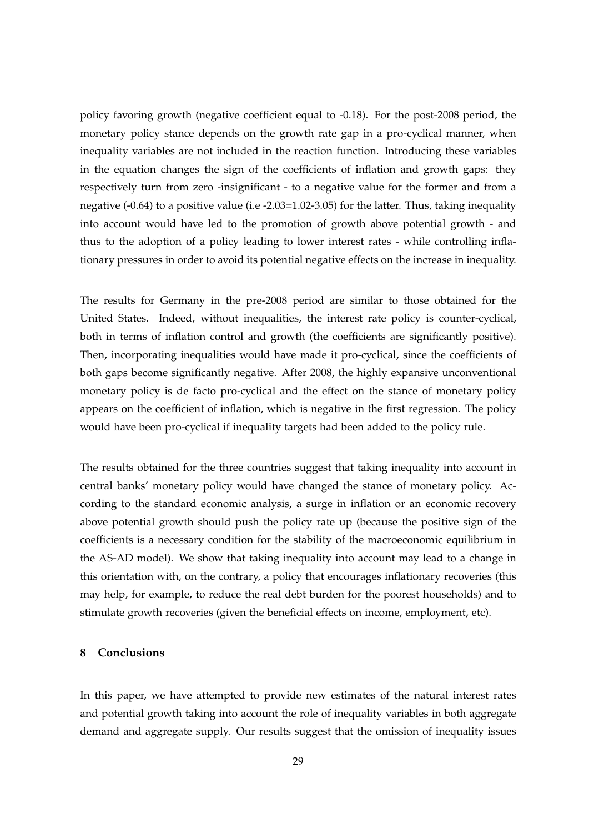policy favoring growth (negative coefficient equal to -0.18). For the post-2008 period, the monetary policy stance depends on the growth rate gap in a pro-cyclical manner, when inequality variables are not included in the reaction function. Introducing these variables in the equation changes the sign of the coefficients of inflation and growth gaps: they respectively turn from zero -insignificant - to a negative value for the former and from a negative (-0.64) to a positive value (i.e -2.03=1.02-3.05) for the latter. Thus, taking inequality into account would have led to the promotion of growth above potential growth - and thus to the adoption of a policy leading to lower interest rates - while controlling inflationary pressures in order to avoid its potential negative effects on the increase in inequality.

The results for Germany in the pre-2008 period are similar to those obtained for the United States. Indeed, without inequalities, the interest rate policy is counter-cyclical, both in terms of inflation control and growth (the coefficients are significantly positive). Then, incorporating inequalities would have made it pro-cyclical, since the coefficients of both gaps become significantly negative. After 2008, the highly expansive unconventional monetary policy is de facto pro-cyclical and the effect on the stance of monetary policy appears on the coefficient of inflation, which is negative in the first regression. The policy would have been pro-cyclical if inequality targets had been added to the policy rule.

The results obtained for the three countries suggest that taking inequality into account in central banks' monetary policy would have changed the stance of monetary policy. According to the standard economic analysis, a surge in inflation or an economic recovery above potential growth should push the policy rate up (because the positive sign of the coefficients is a necessary condition for the stability of the macroeconomic equilibrium in the AS-AD model). We show that taking inequality into account may lead to a change in this orientation with, on the contrary, a policy that encourages inflationary recoveries (this may help, for example, to reduce the real debt burden for the poorest households) and to stimulate growth recoveries (given the beneficial effects on income, employment, etc).

#### **8 Conclusions**

In this paper, we have attempted to provide new estimates of the natural interest rates and potential growth taking into account the role of inequality variables in both aggregate demand and aggregate supply. Our results suggest that the omission of inequality issues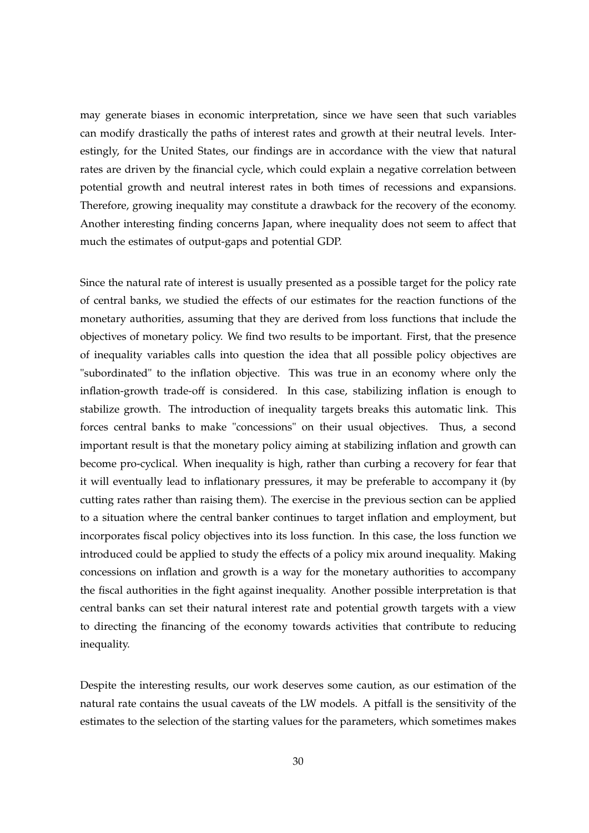may generate biases in economic interpretation, since we have seen that such variables can modify drastically the paths of interest rates and growth at their neutral levels. Interestingly, for the United States, our findings are in accordance with the view that natural rates are driven by the financial cycle, which could explain a negative correlation between potential growth and neutral interest rates in both times of recessions and expansions. Therefore, growing inequality may constitute a drawback for the recovery of the economy. Another interesting finding concerns Japan, where inequality does not seem to affect that much the estimates of output-gaps and potential GDP.

Since the natural rate of interest is usually presented as a possible target for the policy rate of central banks, we studied the effects of our estimates for the reaction functions of the monetary authorities, assuming that they are derived from loss functions that include the objectives of monetary policy. We find two results to be important. First, that the presence of inequality variables calls into question the idea that all possible policy objectives are "subordinated" to the inflation objective. This was true in an economy where only the inflation-growth trade-off is considered. In this case, stabilizing inflation is enough to stabilize growth. The introduction of inequality targets breaks this automatic link. This forces central banks to make "concessions" on their usual objectives. Thus, a second important result is that the monetary policy aiming at stabilizing inflation and growth can become pro-cyclical. When inequality is high, rather than curbing a recovery for fear that it will eventually lead to inflationary pressures, it may be preferable to accompany it (by cutting rates rather than raising them). The exercise in the previous section can be applied to a situation where the central banker continues to target inflation and employment, but incorporates fiscal policy objectives into its loss function. In this case, the loss function we introduced could be applied to study the effects of a policy mix around inequality. Making concessions on inflation and growth is a way for the monetary authorities to accompany the fiscal authorities in the fight against inequality. Another possible interpretation is that central banks can set their natural interest rate and potential growth targets with a view to directing the financing of the economy towards activities that contribute to reducing inequality.

Despite the interesting results, our work deserves some caution, as our estimation of the natural rate contains the usual caveats of the LW models. A pitfall is the sensitivity of the estimates to the selection of the starting values for the parameters, which sometimes makes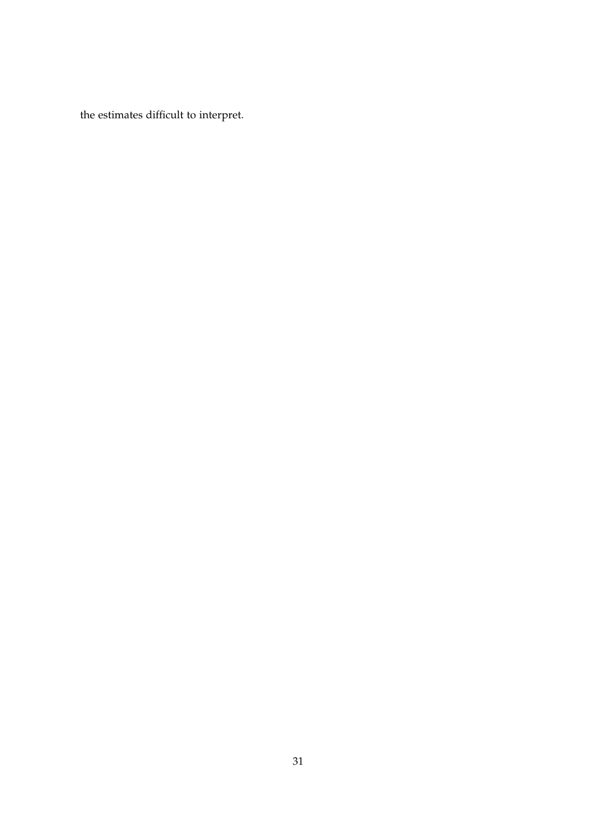the estimates difficult to interpret.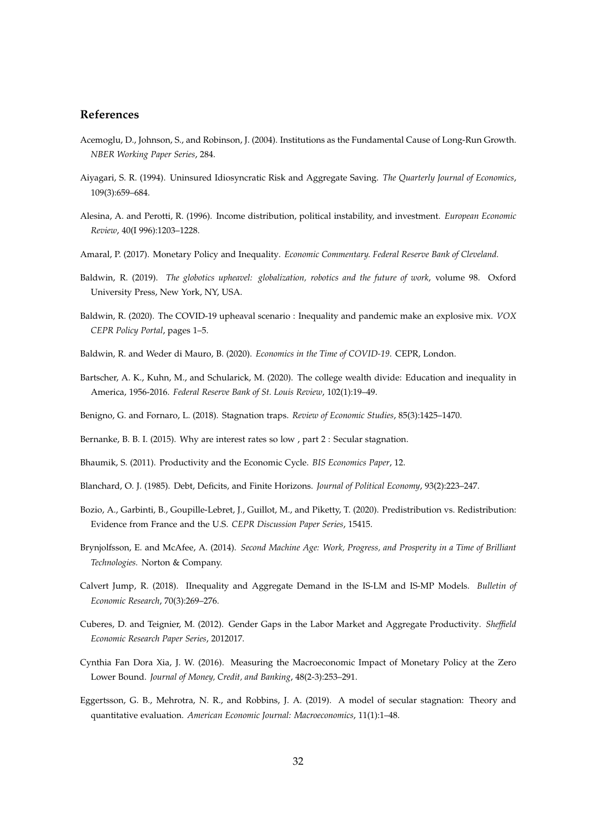#### **References**

- Acemoglu, D., Johnson, S., and Robinson, J. (2004). Institutions as the Fundamental Cause of Long-Run Growth. *NBER Working Paper Series*, 284.
- Aiyagari, S. R. (1994). Uninsured Idiosyncratic Risk and Aggregate Saving. *The Quarterly Journal of Economics*, 109(3):659–684.
- Alesina, A. and Perotti, R. (1996). Income distribution, political instability, and investment. *European Economic Review*, 40(I 996):1203–1228.
- Amaral, P. (2017). Monetary Policy and Inequality. *Economic Commentary. Federal Reserve Bank of Cleveland.*
- Baldwin, R. (2019). *The globotics upheavel: globalization, robotics and the future of work*, volume 98. Oxford University Press, New York, NY, USA.
- Baldwin, R. (2020). The COVID-19 upheaval scenario : Inequality and pandemic make an explosive mix. *VOX CEPR Policy Portal*, pages 1–5.
- Baldwin, R. and Weder di Mauro, B. (2020). *Economics in the Time of COVID-19*. CEPR, London.
- Bartscher, A. K., Kuhn, M., and Schularick, M. (2020). The college wealth divide: Education and inequality in America, 1956-2016. *Federal Reserve Bank of St. Louis Review*, 102(1):19–49.
- Benigno, G. and Fornaro, L. (2018). Stagnation traps. *Review of Economic Studies*, 85(3):1425–1470.
- Bernanke, B. B. I. (2015). Why are interest rates so low , part 2 : Secular stagnation.
- Bhaumik, S. (2011). Productivity and the Economic Cycle. *BIS Economics Paper*, 12.
- Blanchard, O. J. (1985). Debt, Deficits, and Finite Horizons. *Journal of Political Economy*, 93(2):223–247.
- Bozio, A., Garbinti, B., Goupille-Lebret, J., Guillot, M., and Piketty, T. (2020). Predistribution vs. Redistribution: Evidence from France and the U.S. *CEPR Discussion Paper Series*, 15415.
- Brynjolfsson, E. and McAfee, A. (2014). *Second Machine Age: Work, Progress, and Prosperity in a Time of Brilliant Technologies.* Norton & Company.
- Calvert Jump, R. (2018). IInequality and Aggregate Demand in the IS-LM and IS-MP Models. *Bulletin of Economic Research*, 70(3):269–276.
- Cuberes, D. and Teignier, M. (2012). Gender Gaps in the Labor Market and Aggregate Productivity. *Sheffield Economic Research Paper Series*, 2012017.
- Cynthia Fan Dora Xia, J. W. (2016). Measuring the Macroeconomic Impact of Monetary Policy at the Zero Lower Bound. *Journal of Money, Credit, and Banking*, 48(2-3):253–291.
- Eggertsson, G. B., Mehrotra, N. R., and Robbins, J. A. (2019). A model of secular stagnation: Theory and quantitative evaluation. *American Economic Journal: Macroeconomics*, 11(1):1–48.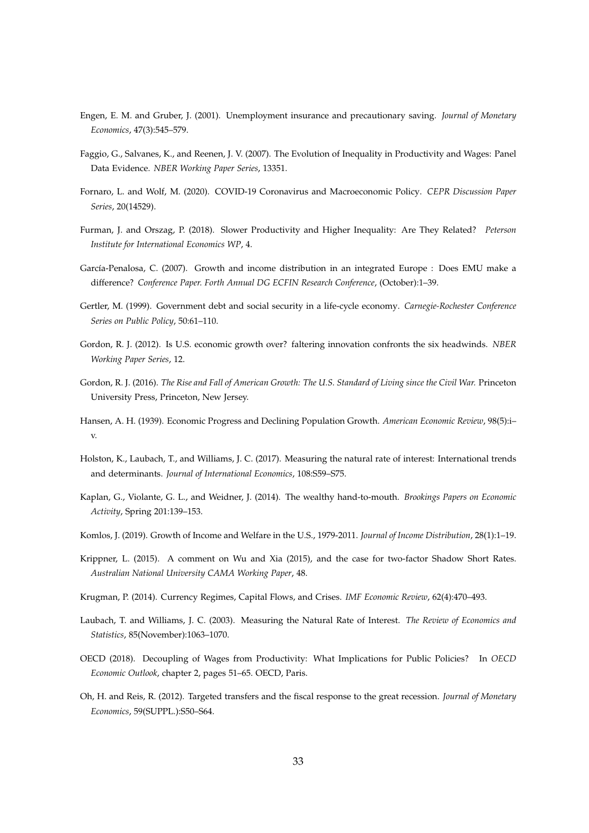- Engen, E. M. and Gruber, J. (2001). Unemployment insurance and precautionary saving. *Journal of Monetary Economics*, 47(3):545–579.
- Faggio, G., Salvanes, K., and Reenen, J. V. (2007). The Evolution of Inequality in Productivity and Wages: Panel Data Evidence. *NBER Working Paper Series*, 13351.
- Fornaro, L. and Wolf, M. (2020). COVID-19 Coronavirus and Macroeconomic Policy. *CEPR Discussion Paper Series*, 20(14529).
- Furman, J. and Orszag, P. (2018). Slower Productivity and Higher Inequality: Are They Related? *Peterson Institute for International Economics WP*, 4.
- García-Penalosa, C. (2007). Growth and income distribution in an integrated Europe : Does EMU make a difference? *Conference Paper. Forth Annual DG ECFIN Research Conference*, (October):1–39.
- Gertler, M. (1999). Government debt and social security in a life-cycle economy. *Carnegie-Rochester Conference Series on Public Policy*, 50:61–110.
- Gordon, R. J. (2012). Is U.S. economic growth over? faltering innovation confronts the six headwinds. *NBER Working Paper Series*, 12.
- Gordon, R. J. (2016). *The Rise and Fall of American Growth: The U.S. Standard of Living since the Civil War.* Princeton University Press, Princeton, New Jersey.
- Hansen, A. H. (1939). Economic Progress and Declining Population Growth. *American Economic Review*, 98(5):i– v.
- Holston, K., Laubach, T., and Williams, J. C. (2017). Measuring the natural rate of interest: International trends and determinants. *Journal of International Economics*, 108:S59–S75.
- Kaplan, G., Violante, G. L., and Weidner, J. (2014). The wealthy hand-to-mouth. *Brookings Papers on Economic Activity*, Spring 201:139–153.
- Komlos, J. (2019). Growth of Income and Welfare in the U.S., 1979-2011. *Journal of Income Distribution*, 28(1):1–19.
- Krippner, L. (2015). A comment on Wu and Xia (2015), and the case for two-factor Shadow Short Rates. *Australian National University CAMA Working Paper*, 48.
- Krugman, P. (2014). Currency Regimes, Capital Flows, and Crises. *IMF Economic Review*, 62(4):470–493.
- Laubach, T. and Williams, J. C. (2003). Measuring the Natural Rate of Interest. *The Review of Economics and Statistics*, 85(November):1063–1070.
- OECD (2018). Decoupling of Wages from Productivity: What Implications for Public Policies? In *OECD Economic Outlook*, chapter 2, pages 51–65. OECD, Paris.
- Oh, H. and Reis, R. (2012). Targeted transfers and the fiscal response to the great recession. *Journal of Monetary Economics*, 59(SUPPL.):S50–S64.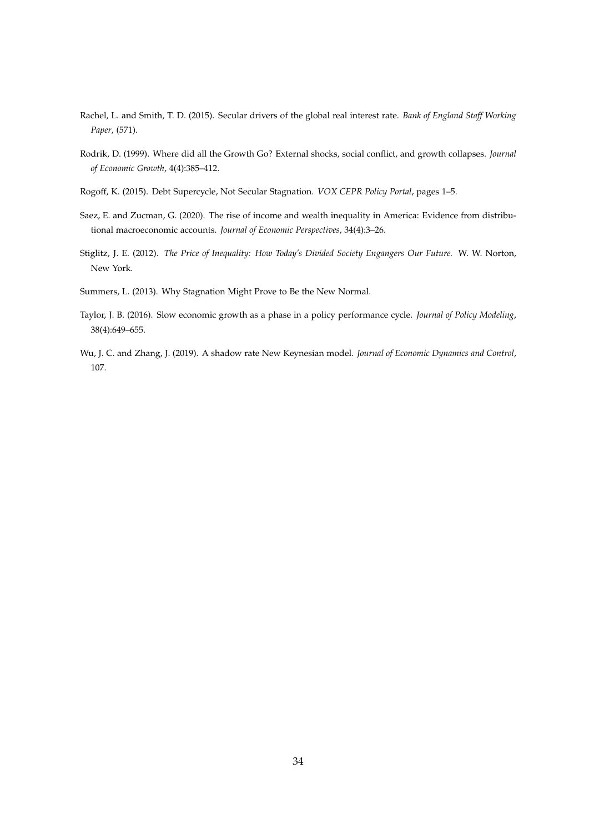- Rachel, L. and Smith, T. D. (2015). Secular drivers of the global real interest rate. *Bank of England Staff Working Paper*, (571).
- Rodrik, D. (1999). Where did all the Growth Go? External shocks, social conflict, and growth collapses. *Journal of Economic Growth*, 4(4):385–412.
- Rogoff, K. (2015). Debt Supercycle, Not Secular Stagnation. *VOX CEPR Policy Portal*, pages 1–5.
- Saez, E. and Zucman, G. (2020). The rise of income and wealth inequality in America: Evidence from distributional macroeconomic accounts. *Journal of Economic Perspectives*, 34(4):3–26.
- Stiglitz, J. E. (2012). *The Price of Inequality: How Today's Divided Society Engangers Our Future.* W. W. Norton, New York.
- Summers, L. (2013). Why Stagnation Might Prove to Be the New Normal.
- Taylor, J. B. (2016). Slow economic growth as a phase in a policy performance cycle. *Journal of Policy Modeling*, 38(4):649–655.
- Wu, J. C. and Zhang, J. (2019). A shadow rate New Keynesian model. *Journal of Economic Dynamics and Control*, 107.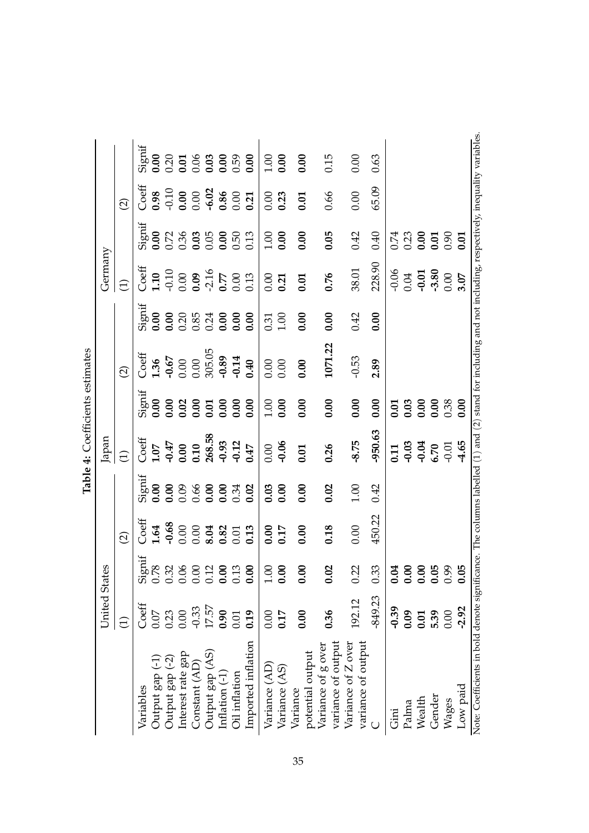|                                                                                                                                                             | United States |                                                |                                                                                               |                                                          | Japan                                                                     |                              |                                                                   |                                                               | Germany                                                |                     |                                                      |                     |
|-------------------------------------------------------------------------------------------------------------------------------------------------------------|---------------|------------------------------------------------|-----------------------------------------------------------------------------------------------|----------------------------------------------------------|---------------------------------------------------------------------------|------------------------------|-------------------------------------------------------------------|---------------------------------------------------------------|--------------------------------------------------------|---------------------|------------------------------------------------------|---------------------|
|                                                                                                                                                             | $\ominus$     |                                                | $\widehat{\Omega}$                                                                            |                                                          | $\widehat{\Xi}$                                                           |                              | $\widehat{\Omega}$                                                |                                                               | $\widehat{\Xi}$                                        |                     | $\widehat{\Omega}$                                   |                     |
| Variables                                                                                                                                                   | Coeff         | Signif<br>0.78<br>0.32<br>0.00<br>0.00<br>0.00 | $2$ oeff                                                                                      | lingić                                                   | $C$ <sub>0</sub> eff<br>1.07<br>1.047<br>0.00<br>0.10<br>268.58<br>268.58 | ignif                        |                                                                   | ignif                                                         | Coeff<br>1.10<br>0.00<br>0.00<br>0.77<br>0.013<br>0.13 | <b>Signif</b>       | 30eff                                                |                     |
| Output gap (-1                                                                                                                                              | 0.07          |                                                |                                                                                               | 0.00                                                     |                                                                           | 0.00                         |                                                                   | 0.00                                                          |                                                        |                     |                                                      |                     |
| Output gap (-2)                                                                                                                                             | 0.23          |                                                |                                                                                               |                                                          |                                                                           |                              |                                                                   |                                                               |                                                        |                     |                                                      |                     |
| Interest rate gap                                                                                                                                           | 0.00          |                                                |                                                                                               |                                                          |                                                                           |                              |                                                                   |                                                               |                                                        |                     |                                                      |                     |
| Constant (AD)                                                                                                                                               | $-0.33$       |                                                |                                                                                               |                                                          |                                                                           |                              |                                                                   |                                                               |                                                        |                     |                                                      |                     |
| Output gap (AS)                                                                                                                                             | 17.57         |                                                | $1.64$<br>$-0.68$<br>$-0.00$<br>$0.00$<br>$-0.01$<br>$-0.01$<br>$-0.01$<br>$-0.01$<br>$-0.01$ | $0.08$<br>$0.06$<br>$0.00$<br>$0.00$<br>$0.34$<br>$0.02$ |                                                                           | 0.02<br>0.05<br>0.05<br>0.06 |                                                                   | $0.2085$<br>$0.2530$<br>$0.340$<br>$0.36$<br>$0.36$<br>$0.36$ |                                                        |                     | 0.98<br>0.00<br>0.00<br>0.00<br>0.00<br>0.00<br>0.00 |                     |
| Inflation (-1                                                                                                                                               | 0.90          |                                                |                                                                                               |                                                          |                                                                           |                              |                                                                   |                                                               |                                                        |                     |                                                      |                     |
| Oil inflation                                                                                                                                               | 0.01          | 0.13                                           |                                                                                               |                                                          |                                                                           |                              |                                                                   |                                                               |                                                        |                     |                                                      |                     |
| Imported inflation                                                                                                                                          | 0.19          | $\mathsf{S}$<br>6                              |                                                                                               |                                                          |                                                                           | 0.00                         | $C$ ceff<br>1.36<br>0.00<br>0.0005.05<br>0.395.05<br>0.39<br>0.39 |                                                               |                                                        |                     |                                                      |                     |
| Variance (AD)                                                                                                                                               | 0.00          | 00.1                                           |                                                                                               |                                                          | 0.00                                                                      |                              |                                                                   |                                                               | $0.00$<br>$0.21$                                       | $\frac{0.00}{0.00}$ | 0.000                                                |                     |
| Variance (AS)                                                                                                                                               | 0.17          | 0.00                                           | 0.17                                                                                          | 0.03                                                     |                                                                           | $\frac{0.00}{0.00}$          | 0.000                                                             | $\frac{0.31}{1.00}$                                           |                                                        |                     |                                                      | $\frac{0.00}{0.00}$ |
| potential output<br>Variance                                                                                                                                | 0.00          | $\mathsf{S}$<br>తె                             | 0.00                                                                                          | 0.00                                                     | 0.01                                                                      | 0.00                         | 0.00                                                              | 0.00                                                          | 0.01                                                   | 0.00                | 0.01                                                 | 0.00                |
| variance of output<br>Variance of g over                                                                                                                    | 0.36          | $\mathbf{S}$<br>తె                             | 0.18                                                                                          | 0.02                                                     | 0.26                                                                      | 0.00                         | 1071.22                                                           | 0.00                                                          | 0.76                                                   | 0.05                | 0.66                                                 | 0.15                |
| variance of output<br>Variance of Z over                                                                                                                    | 192.12        | 0.22                                           | 0.00                                                                                          | $1.00\,$                                                 | $-8.75$                                                                   | 0.00                         | $-0.53$                                                           | 0.42                                                          | 38.01                                                  | 0.42                | 0.00                                                 | 0.00                |
|                                                                                                                                                             | $-849.23$     | 0.33                                           | 450.22                                                                                        | 0.42                                                     | $-950.63$                                                                 | 0.00                         | 2.89                                                              | 0.00                                                          | 228.90                                                 | 0.40                | 65.09                                                | 0.63                |
| ini<br>Gini                                                                                                                                                 | $-0.39$       | 2<br>ະ                                         |                                                                                               |                                                          |                                                                           |                              |                                                                   |                                                               |                                                        |                     |                                                      |                     |
| Palma                                                                                                                                                       | 0.09          | $\mathbf{c}$                                   |                                                                                               |                                                          |                                                                           |                              |                                                                   |                                                               |                                                        |                     |                                                      |                     |
| Wealth                                                                                                                                                      | 0.01          | 8<br>$\breve{\circ}$                           |                                                                                               |                                                          | 0.11<br>0.03<br>0.70<br>0.01                                              | 0.03<br>0.03<br>0.0          |                                                                   |                                                               |                                                        |                     |                                                      |                     |
| Gender                                                                                                                                                      | 5.39          | 50<br>ā                                        |                                                                                               |                                                          |                                                                           | 0.38                         |                                                                   |                                                               |                                                        |                     |                                                      |                     |
| Wages                                                                                                                                                       | 0.00          | 99<br>$\ddot{\circ}$                           |                                                                                               |                                                          |                                                                           |                              |                                                                   |                                                               |                                                        |                     |                                                      |                     |
| Low paid                                                                                                                                                    | $-2.92$       | 50                                             |                                                                                               |                                                          | 4.65                                                                      | 0.00                         |                                                                   |                                                               |                                                        |                     |                                                      |                     |
| Note: Coefficients in bold denote significance. The columns labelled (1) and (2) stand for including and not including, respectively, inequality variables. |               |                                                |                                                                                               |                                                          |                                                                           |                              |                                                                   |                                                               |                                                        |                     |                                                      |                     |

Table 4: Coefficients estimates **Table 4:** Coefficients estimates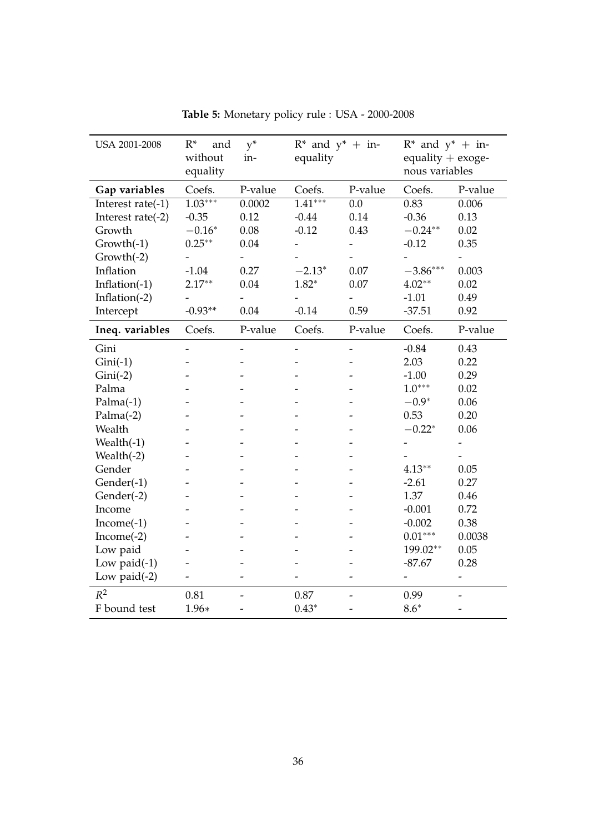| USA 2001-2008     | $R^*$<br>and<br>without<br>equality | $y^*$<br>in- | $R^*$ and $y^*$ + in-<br>equality |                  | $R^*$ and $y^*$ + in-<br>equality $+$ exoge-<br>nous variables |                          |
|-------------------|-------------------------------------|--------------|-----------------------------------|------------------|----------------------------------------------------------------|--------------------------|
| Gap variables     | Coefs.                              | P-value      | Coefs.                            | P-value          | Coefs.                                                         | P-value                  |
| Interest rate(-1) | $1.03***$                           | 0.0002       | $\overline{1.41***}$              | $\overline{0.0}$ | 0.83                                                           | 0.006                    |
| Interest rate(-2) | $-0.35$                             | 0.12         | $-0.44$                           | 0.14             | $-0.36$                                                        | 0.13                     |
| Growth            | $-0.16*$                            | 0.08         | $-0.12$                           | 0.43             | $-0.24**$                                                      | 0.02                     |
| $Growth(-1)$      | $0.25***$                           | 0.04         |                                   |                  | $-0.12$                                                        | 0.35                     |
| Growth(-2)        |                                     |              |                                   |                  |                                                                | $\overline{\phantom{0}}$ |
| Inflation         | $-1.04$                             | 0.27         | $-2.13*$                          | 0.07             | $-3.86***$                                                     | 0.003                    |
| Inflation(-1)     | $2.17**$                            | 0.04         | $1.82*$                           | 0.07             | $4.02**$                                                       | 0.02                     |
| Inflation(-2)     |                                     |              |                                   |                  | $-1.01$                                                        | 0.49                     |
| Intercept         | $-0.93**$                           | 0.04         | $-0.14$                           | 0.59             | $-37.51$                                                       | 0.92                     |
| Ineq. variables   | Coefs.                              | P-value      | Coefs.                            | P-value          | Coefs.                                                         | P-value                  |
| Gini              |                                     |              |                                   |                  | $-0.84$                                                        | 0.43                     |
| $Gini(-1)$        |                                     |              |                                   |                  | 2.03                                                           | 0.22                     |
| $Gini(-2)$        |                                     |              |                                   |                  | $-1.00$                                                        | 0.29                     |
| Palma             |                                     |              |                                   |                  | $1.0***$                                                       | 0.02                     |
| $Palma(-1)$       |                                     |              |                                   |                  | $-0.9*$                                                        | 0.06                     |
| $Palma(-2)$       |                                     |              |                                   |                  | 0.53                                                           | 0.20                     |
| Wealth            |                                     |              |                                   |                  | $-0.22*$                                                       | 0.06                     |
| Wealth $(-1)$     |                                     |              |                                   |                  |                                                                | $\overline{\phantom{0}}$ |
| Wealth(-2)        |                                     |              |                                   |                  |                                                                |                          |
| Gender            |                                     |              |                                   |                  | $4.13**$                                                       | 0.05                     |
| Gender(-1)        |                                     |              |                                   |                  | $-2.61$                                                        | 0.27                     |
| Gender(-2)        |                                     |              |                                   |                  | 1.37                                                           | 0.46                     |
| Income            |                                     |              |                                   |                  | $-0.001$                                                       | 0.72                     |
| $Income(-1)$      |                                     |              |                                   |                  | $-0.002$                                                       | 0.38                     |
| $Income(-2)$      |                                     |              |                                   |                  | $0.01***$                                                      | 0.0038                   |
| Low paid          |                                     |              |                                   |                  | 199.02**                                                       | 0.05                     |
| Low paid $(-1)$   |                                     |              |                                   |                  | $-87.67$                                                       | 0.28                     |
| Low paid $(-2)$   |                                     |              |                                   |                  | $\overline{\phantom{0}}$                                       | $\overline{\phantom{a}}$ |
| $R^2$             | 0.81                                |              | 0.87                              |                  | 0.99                                                           |                          |
| F bound test      | 1.96*                               |              | $0.43*$                           |                  | $8.6*$                                                         |                          |

**Table 5:** Monetary policy rule : USA - 2000-2008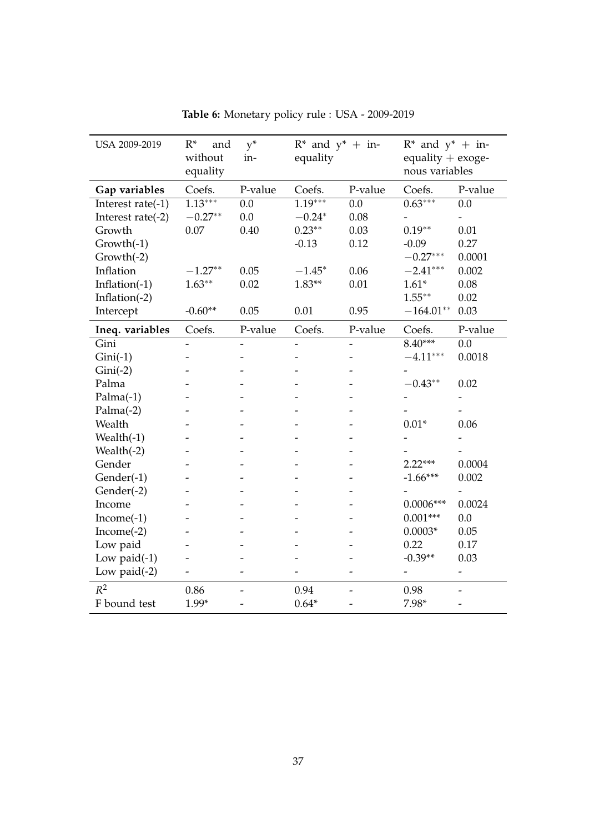| USA 2009-2019     | $R^*$<br>and<br>without<br>equality | $y^*$<br>in-             | $R^*$ and $y^*$ + in-<br>equality |                  | $R^*$ and $y^*$ + in-<br>equality $+$ exoge-<br>nous variables |                              |
|-------------------|-------------------------------------|--------------------------|-----------------------------------|------------------|----------------------------------------------------------------|------------------------------|
| Gap variables     | Coefs.                              | P-value                  | Coefs.                            | P-value          | Coefs.                                                         | P-value                      |
| Interest rate(-1) | $1.13***$                           | $\overline{0.0}$         | $1.19***$                         | $\overline{0.0}$ | $0.63***$                                                      | $\overline{0.0}$             |
| Interest rate(-2) | $-0.27**$                           | 0.0                      | $-0.24*$                          | 0.08             | $\overline{\phantom{0}}$                                       |                              |
| Growth            | 0.07                                | 0.40                     | $0.23**$                          | 0.03             | $0.19**$                                                       | 0.01                         |
| Growth(-1)        |                                     |                          | $-0.13$                           | 0.12             | $-0.09$                                                        | 0.27                         |
| $Growth(-2)$      |                                     |                          |                                   |                  | $-0.27***$                                                     | 0.0001                       |
| Inflation         | $-1.27**$                           | 0.05                     | $-1.45*$                          | 0.06             | $-2.41***$                                                     | 0.002                        |
| Inflation(-1)     | $1.63**$                            | 0.02                     | $1.83**$                          | 0.01             | $1.61*$                                                        | 0.08                         |
| Inflation(-2)     |                                     |                          |                                   |                  | $1.55***$                                                      | 0.02                         |
| Intercept         | $-0.60**$                           | 0.05                     | 0.01                              | 0.95             | $-164.01**$                                                    | 0.03                         |
| Ineq. variables   | Coefs.                              | P-value                  | Coefs.                            | P-value          | Coefs.                                                         | P-value                      |
| Gini              |                                     |                          |                                   |                  | $8.40***$                                                      | $\overline{0.0}$             |
| $Gini(-1)$        |                                     |                          |                                   |                  | $-4.11***$                                                     | 0.0018                       |
| $Gini(-2)$        |                                     |                          |                                   |                  |                                                                |                              |
| Palma             |                                     |                          |                                   |                  | $-0.43**$                                                      | 0.02                         |
| $Palma(-1)$       |                                     |                          |                                   |                  |                                                                | $\qquad \qquad \blacksquare$ |
| $Palma(-2)$       |                                     |                          |                                   |                  |                                                                |                              |
| Wealth            |                                     |                          |                                   |                  | $0.01*$                                                        | 0.06                         |
| Wealth $(-1)$     |                                     |                          |                                   |                  |                                                                |                              |
| Wealth $(-2)$     |                                     |                          |                                   |                  |                                                                |                              |
| Gender            |                                     |                          |                                   |                  | $2.22***$                                                      | 0.0004                       |
| Gender(-1)        |                                     |                          |                                   |                  | $-1.66***$                                                     | 0.002                        |
| Gender(-2)        |                                     |                          |                                   |                  |                                                                | $\qquad \qquad \blacksquare$ |
| Income            |                                     |                          |                                   |                  | $0.0006***$                                                    | 0.0024                       |
| $Income(-1)$      |                                     |                          |                                   |                  | $0.001***$                                                     | 0.0                          |
| $Income(-2)$      |                                     |                          |                                   |                  | $0.0003*$                                                      | 0.05                         |
| Low paid          |                                     |                          |                                   |                  | 0.22                                                           | 0.17                         |
| Low paid $(-1)$   |                                     |                          |                                   |                  | $-0.39**$                                                      | 0.03                         |
| Low paid $(-2)$   |                                     |                          |                                   |                  |                                                                | $\qquad \qquad \blacksquare$ |
| $R^2$             | 0.86                                | $\overline{\phantom{0}}$ | 0.94                              |                  | 0.98                                                           |                              |
| F bound test      | $1.99*$                             |                          | $0.64*$                           |                  | $7.98*$                                                        |                              |

**Table 6:** Monetary policy rule : USA - 2009-2019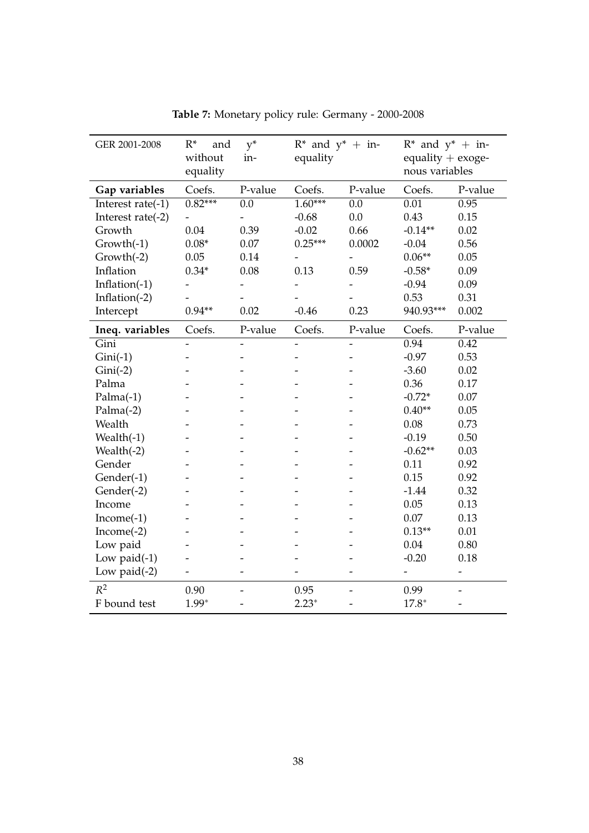| GER 2001-2008     | $R^*$<br>and<br>without<br>equality | $y^*$<br>in-             | $R^*$ and $y^*$ + in-<br>equality |                          | $R^*$ and $y^*$ + in-<br>equality $+$ exoge-<br>nous variables |                          |
|-------------------|-------------------------------------|--------------------------|-----------------------------------|--------------------------|----------------------------------------------------------------|--------------------------|
| Gap variables     | Coefs.                              | P-value                  | Coefs.                            | P-value                  | Coefs.                                                         | P-value                  |
| Interest rate(-1) | $0.82***$                           | $\overline{0.0}$         | $1.60***$                         | $\overline{0.0}$         | 0.01                                                           | 0.95                     |
| Interest rate(-2) |                                     | $\overline{\phantom{0}}$ | $-0.68$                           | 0.0                      | 0.43                                                           | 0.15                     |
| Growth            | 0.04                                | 0.39                     | $-0.02$                           | 0.66                     | $-0.14**$                                                      | 0.02                     |
| $Growth(-1)$      | $0.08*$                             | $0.07\,$                 | $0.25***$                         | 0.0002                   | $-0.04$                                                        | 0.56                     |
| $Growth(-2)$      | 0.05                                | 0.14                     |                                   |                          | $0.06**$                                                       | 0.05                     |
| Inflation         | $0.34*$                             | 0.08                     | 0.13                              | 0.59                     | $-0.58*$                                                       | 0.09                     |
| Inflation $(-1)$  |                                     |                          |                                   |                          | $-0.94$                                                        | 0.09                     |
| Inflation $(-2)$  |                                     |                          |                                   |                          | 0.53                                                           | 0.31                     |
| Intercept         | $0.94**$                            | 0.02                     | $-0.46$                           | 0.23                     | 940.93***                                                      | 0.002                    |
| Ineq. variables   | Coefs.                              | P-value                  | Coefs.                            | P-value                  | Coefs.                                                         | P-value                  |
| Gini              | $\overline{\phantom{0}}$            | $\overline{\phantom{a}}$ | $\overline{\phantom{a}}$          | $\overline{\phantom{a}}$ | 0.94                                                           | 0.42                     |
| $Gini(-1)$        |                                     |                          |                                   |                          | $-0.97$                                                        | 0.53                     |
| $Gini(-2)$        |                                     |                          |                                   |                          | $-3.60$                                                        | 0.02                     |
| Palma             |                                     |                          |                                   |                          | 0.36                                                           | 0.17                     |
| $Palma(-1)$       |                                     |                          |                                   |                          | $-0.72*$                                                       | 0.07                     |
| $Palma(-2)$       |                                     |                          |                                   |                          | $0.40**$                                                       | 0.05                     |
| Wealth            |                                     |                          |                                   |                          | 0.08                                                           | 0.73                     |
| Wealth $(-1)$     |                                     |                          |                                   |                          | $-0.19$                                                        | 0.50                     |
| Wealth $(-2)$     |                                     |                          |                                   |                          | $-0.62**$                                                      | 0.03                     |
| Gender            |                                     |                          |                                   |                          | 0.11                                                           | 0.92                     |
| Gender(-1)        |                                     |                          |                                   |                          | 0.15                                                           | 0.92                     |
| Gender(-2)        |                                     |                          |                                   |                          | $-1.44$                                                        | 0.32                     |
| Income            |                                     |                          |                                   |                          | 0.05                                                           | 0.13                     |
| $Income(-1)$      |                                     |                          |                                   |                          | 0.07                                                           | 0.13                     |
| $Income(-2)$      |                                     |                          |                                   |                          | $0.13**$                                                       | 0.01                     |
| Low paid          |                                     |                          |                                   |                          | 0.04                                                           | 0.80                     |
| Low paid $(-1)$   |                                     |                          |                                   |                          | $-0.20$                                                        | 0.18                     |
| Low paid $(-2)$   |                                     | $\overline{a}$           |                                   |                          | -                                                              | $\overline{\phantom{0}}$ |
| $R^2$             | 0.90                                |                          | 0.95                              |                          | 0.99                                                           |                          |
| F bound test      | $1.99*$                             |                          | $2.23*$                           |                          | $17.8*$                                                        |                          |

**Table 7:** Monetary policy rule: Germany - 2000-2008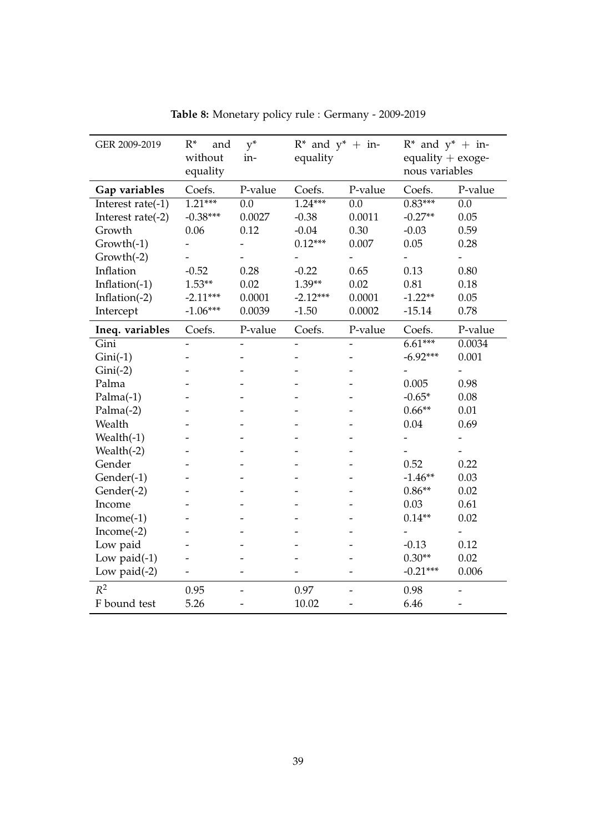| GER 2009-2019     | $R^*$<br>and<br>without<br>equality | $y^*$<br>in-             | $R^*$ and $y^*$ + in-<br>equality |                  | $R^*$ and $y^*$ + in-<br>equality $+$ exoge-<br>nous variables |                              |
|-------------------|-------------------------------------|--------------------------|-----------------------------------|------------------|----------------------------------------------------------------|------------------------------|
| Gap variables     | Coefs.                              | P-value                  | Coefs.                            | P-value          | Coefs.                                                         | P-value                      |
| Interest rate(-1) | $1.21***$                           | $\overline{0.0}$         | $1.24***$                         | $\overline{0.0}$ | $0.83***$                                                      | $\overline{0.0}$             |
| Interest rate(-2) | $-0.38***$                          | 0.0027                   | $-0.38$                           | 0.0011           | $-0.27**$                                                      | 0.05                         |
| Growth            | 0.06                                | 0.12                     | $-0.04$                           | 0.30             | $-0.03$                                                        | 0.59                         |
| $Growth(-1)$      |                                     |                          | $0.12***$                         | 0.007            | 0.05                                                           | 0.28                         |
| $Growth(-2)$      |                                     |                          |                                   |                  |                                                                |                              |
| Inflation         | $-0.52$                             | 0.28                     | $-0.22$                           | 0.65             | 0.13                                                           | 0.80                         |
| Inflation $(-1)$  | $1.53**$                            | 0.02                     | $1.39**$                          | 0.02             | 0.81                                                           | 0.18                         |
| Inflation $(-2)$  | $-2.11***$                          | 0.0001                   | $-2.12***$                        | 0.0001           | $-1.22**$                                                      | 0.05                         |
| Intercept         | $-1.06***$                          | 0.0039                   | $-1.50$                           | 0.0002           | $-15.14$                                                       | 0.78                         |
| Ineq. variables   | Coefs.                              | P-value                  | Coefs.                            | P-value          | Coefs.                                                         | P-value                      |
| Gini              |                                     | $\overline{\phantom{0}}$ | $\overline{a}$                    |                  | $6.61***$                                                      | 0.0034                       |
| $Gini(-1)$        |                                     |                          |                                   |                  | $-6.92***$                                                     | 0.001                        |
| $Gini(-2)$        |                                     |                          |                                   |                  |                                                                |                              |
| Palma             |                                     |                          |                                   |                  | 0.005                                                          | 0.98                         |
| $Palma(-1)$       |                                     |                          |                                   |                  | $-0.65*$                                                       | 0.08                         |
| $Palma(-2)$       |                                     |                          |                                   |                  | $0.66**$                                                       | 0.01                         |
| Wealth            |                                     |                          |                                   |                  | 0.04                                                           | 0.69                         |
| Wealth $(-1)$     |                                     |                          |                                   |                  |                                                                |                              |
| Wealth(-2)        |                                     |                          |                                   |                  |                                                                |                              |
| Gender            |                                     |                          |                                   |                  | 0.52                                                           | 0.22                         |
| Gender(-1)        |                                     |                          |                                   |                  | $-1.46**$                                                      | 0.03                         |
| Gender(-2)        |                                     |                          |                                   |                  | $0.86**$                                                       | 0.02                         |
| Income            |                                     |                          |                                   |                  | 0.03                                                           | 0.61                         |
| $Income(-1)$      |                                     |                          |                                   |                  | $0.14**$                                                       | 0.02                         |
| $Income(-2)$      |                                     |                          |                                   |                  |                                                                | $\qquad \qquad \blacksquare$ |
| Low paid          |                                     |                          |                                   |                  | $-0.13$                                                        | 0.12                         |
| Low paid $(-1)$   |                                     |                          |                                   |                  | $0.30**$                                                       | 0.02                         |
| Low paid $(-2)$   |                                     |                          |                                   |                  | $-0.21***$                                                     | 0.006                        |
| $R^2$             | 0.95                                | $\overline{\phantom{0}}$ | 0.97                              |                  | 0.98                                                           |                              |
| F bound test      | 5.26                                |                          | 10.02                             |                  | 6.46                                                           |                              |

**Table 8:** Monetary policy rule : Germany - 2009-2019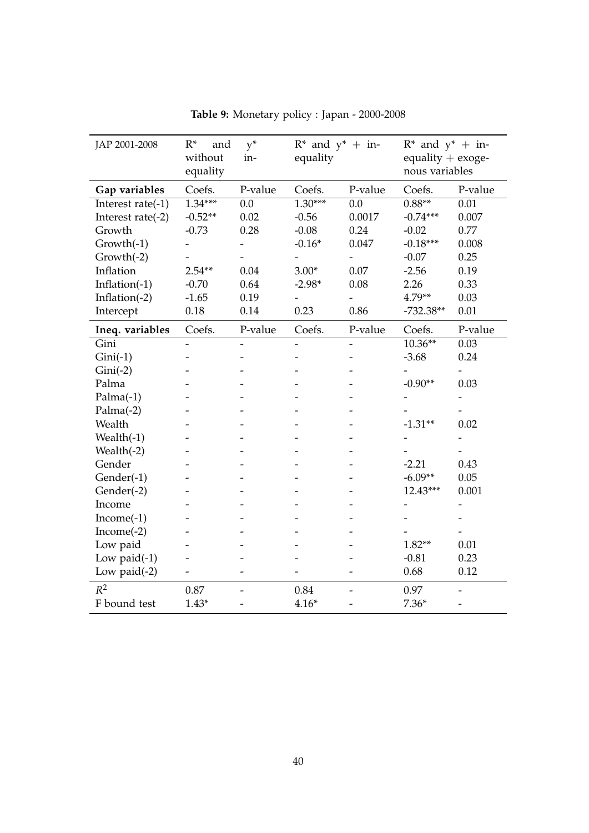| JAP 2001-2008     | $R^*$<br>and<br>without<br>equality | $y^*$<br>in-             | $R^*$ and $y^*$ + in-<br>equality |                  | $R^*$ and $y^*$ + in-<br>equality + exoge-<br>nous variables |                          |
|-------------------|-------------------------------------|--------------------------|-----------------------------------|------------------|--------------------------------------------------------------|--------------------------|
| Gap variables     | Coefs.                              | P-value                  | Coefs.                            | P-value          | Coefs.                                                       | P-value                  |
| Interest rate(-1) | $1.34***$                           | $\overline{0.0}$         | $1.30***$                         | $\overline{0.0}$ | $0.88**$                                                     | $\overline{0.01}$        |
| Interest rate(-2) | $-0.52**$                           | 0.02                     | $-0.56$                           | 0.0017           | $-0.74***$                                                   | 0.007                    |
| Growth            | $-0.73$                             | 0.28                     | $-0.08$                           | 0.24             | $-0.02$                                                      | 0.77                     |
| Growth(-1)        |                                     | $\overline{\phantom{0}}$ | $-0.16*$                          | 0.047            | $-0.18***$                                                   | 0.008                    |
| $Growth(-2)$      |                                     |                          |                                   |                  | $-0.07$                                                      | 0.25                     |
| Inflation         | $2.54**$                            | 0.04                     | $3.00*$                           | 0.07             | $-2.56$                                                      | 0.19                     |
| Inflation(-1)     | $-0.70$                             | 0.64                     | $-2.98*$                          | 0.08             | 2.26                                                         | 0.33                     |
| Inflation $(-2)$  | $-1.65$                             | 0.19                     |                                   |                  | 4.79**                                                       | 0.03                     |
| Intercept         | 0.18                                | 0.14                     | 0.23                              | 0.86             | $-732.38**$                                                  | 0.01                     |
| Ineq. variables   | Coefs.                              | P-value                  | Coefs.                            | P-value          | Coefs.                                                       | P-value                  |
| Gini              |                                     |                          |                                   |                  | $10.36**$                                                    | 0.03                     |
| $Gini(-1)$        |                                     |                          |                                   |                  | $-3.68$                                                      | 0.24                     |
| $Gini(-2)$        |                                     |                          |                                   |                  |                                                              |                          |
| Palma             |                                     |                          |                                   |                  | $-0.90**$                                                    | 0.03                     |
| $Palma(-1)$       |                                     |                          |                                   |                  |                                                              |                          |
| $Palma(-2)$       |                                     |                          |                                   |                  |                                                              |                          |
| Wealth            |                                     |                          |                                   |                  | $-1.31**$                                                    | 0.02                     |
| Wealth $(-1)$     |                                     |                          |                                   |                  |                                                              |                          |
| Wealth $(-2)$     |                                     |                          |                                   |                  |                                                              | $\qquad \qquad -$        |
| Gender            |                                     |                          |                                   |                  | $-2.21$                                                      | 0.43                     |
| Gender(-1)        |                                     |                          |                                   |                  | $-6.09**$                                                    | 0.05                     |
| Gender(-2)        |                                     |                          |                                   |                  | 12.43***                                                     | 0.001                    |
| Income            |                                     |                          |                                   |                  |                                                              |                          |
| $Income(-1)$      |                                     |                          |                                   |                  |                                                              |                          |
| $Income(-2)$      |                                     |                          |                                   |                  |                                                              |                          |
| Low paid          |                                     |                          |                                   |                  | $1.82**$                                                     | 0.01                     |
| Low paid $(-1)$   |                                     |                          |                                   |                  | $-0.81$                                                      | 0.23                     |
| Low paid $(-2)$   |                                     |                          |                                   |                  | 0.68                                                         | 0.12                     |
| $R^2$             | 0.87                                |                          | 0.84                              |                  | 0.97                                                         |                          |
| F bound test      | $1.43*$                             | -                        | $4.16*$                           |                  | $7.36*$                                                      | $\overline{\phantom{a}}$ |

**Table 9:** Monetary policy : Japan - 2000-2008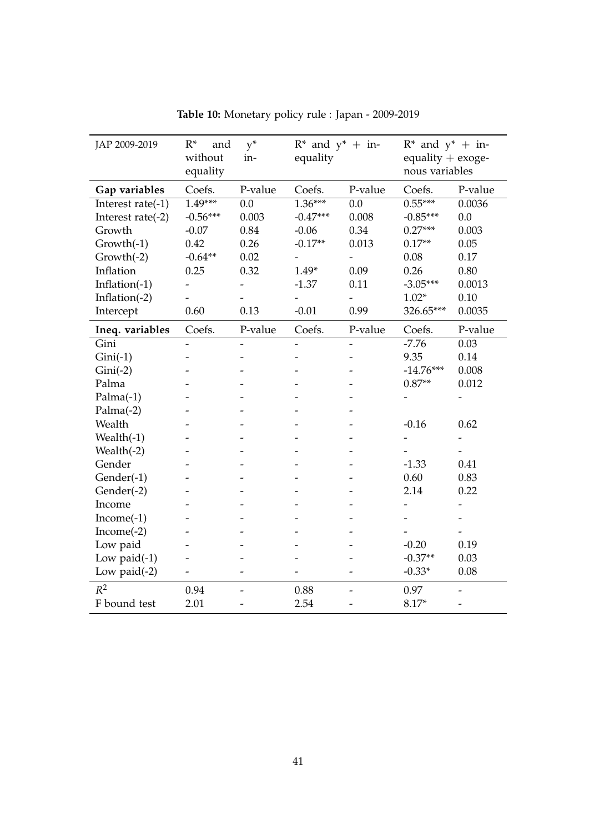| JAP 2009-2019     | $R^*$<br>and<br>without<br>equality | $y^*$<br>in-     | $R^*$ and $y^*$ + in-<br>equality |                  | $R^*$ and $y^*$ + in-<br>equality $+$ exoge-<br>nous variables |         |
|-------------------|-------------------------------------|------------------|-----------------------------------|------------------|----------------------------------------------------------------|---------|
| Gap variables     | Coefs.                              | P-value          | Coefs.                            | P-value          | Coefs.                                                         | P-value |
| Interest rate(-1) | $1.49***$                           | $\overline{0.0}$ | $1.36***$                         | $\overline{0.0}$ | $0.55***$                                                      | 0.0036  |
| Interest rate(-2) | $-0.56***$                          | 0.003            | $-0.47***$                        | 0.008            | $-0.85***$                                                     | $0.0\,$ |
| Growth            | $-0.07$                             | 0.84             | $-0.06$                           | 0.34             | $0.27***$                                                      | 0.003   |
| Growth(-1)        | 0.42                                | 0.26             | $-0.17**$                         | 0.013            | $0.17**$                                                       | 0.05    |
| $Growth(-2)$      | $-0.64**$                           | 0.02             |                                   |                  | 0.08                                                           | 0.17    |
| Inflation         | 0.25                                | 0.32             | $1.49*$                           | 0.09             | 0.26                                                           | 0.80    |
| Inflation $(-1)$  |                                     |                  | $-1.37$                           | 0.11             | $-3.05***$                                                     | 0.0013  |
| Inflation $(-2)$  |                                     |                  | $\overline{\phantom{0}}$          |                  | $1.02*$                                                        | 0.10    |
| Intercept         | 0.60                                | 0.13             | $-0.01$                           | 0.99             | 326.65***                                                      | 0.0035  |
| Ineq. variables   | Coefs.                              | P-value          | Coefs.                            | P-value          | Coefs.                                                         | P-value |
| Gini              |                                     |                  |                                   |                  | $-7.76$                                                        | 0.03    |
| $Gini(-1)$        |                                     |                  |                                   |                  | 9.35                                                           | 0.14    |
| $Gini(-2)$        |                                     |                  |                                   |                  | $-14.76***$                                                    | 0.008   |
| Palma             |                                     |                  |                                   |                  | $0.87**$                                                       | 0.012   |
| $Palma(-1)$       |                                     |                  |                                   |                  |                                                                |         |
| $Palma(-2)$       |                                     |                  |                                   |                  |                                                                |         |
| Wealth            |                                     |                  |                                   |                  | $-0.16$                                                        | 0.62    |
| Wealth $(-1)$     |                                     |                  |                                   |                  |                                                                |         |
| Wealth(-2)        |                                     |                  |                                   |                  |                                                                |         |
| Gender            |                                     |                  |                                   |                  | $-1.33$                                                        | 0.41    |
| Gender(-1)        |                                     |                  |                                   |                  | 0.60                                                           | 0.83    |
| Gender(-2)        |                                     |                  |                                   |                  | 2.14                                                           | 0.22    |
| Income            |                                     |                  |                                   |                  |                                                                |         |
| $Income(-1)$      |                                     |                  |                                   |                  |                                                                |         |
| $Income(-2)$      |                                     |                  |                                   |                  |                                                                |         |
| Low paid          |                                     |                  |                                   |                  | $-0.20$                                                        | 0.19    |
| Low paid $(-1)$   |                                     |                  |                                   |                  | $-0.37**$                                                      | 0.03    |
| Low paid $(-2)$   |                                     |                  |                                   |                  | $-0.33*$                                                       | 0.08    |
| $R^2$             | 0.94                                | $\overline{a}$   | 0.88                              |                  | 0.97                                                           |         |
| F bound test      | 2.01                                |                  | 2.54                              |                  | 8.17*                                                          |         |

**Table 10:** Monetary policy rule : Japan - 2009-2019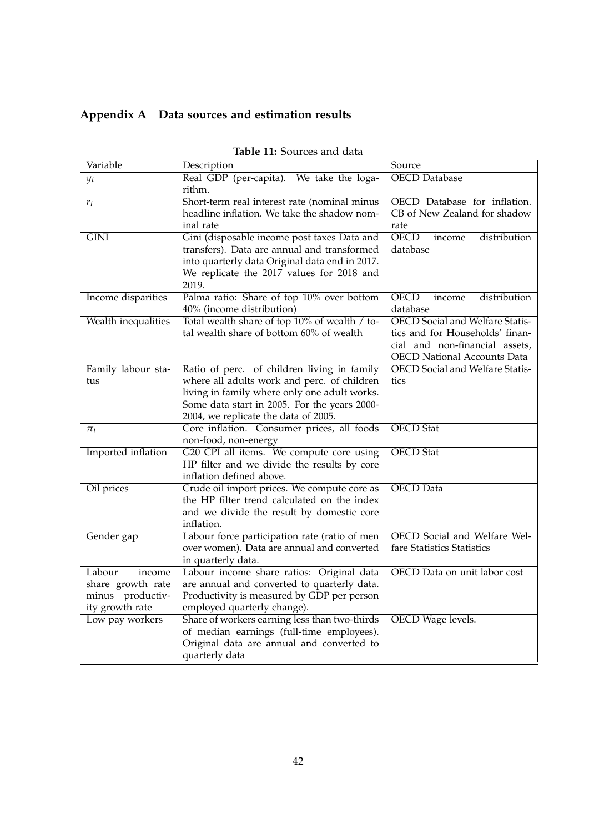### **Appendix A Data sources and estimation results**

| Variable                 | Description                                                                                 | Source                                 |
|--------------------------|---------------------------------------------------------------------------------------------|----------------------------------------|
| $y_t$                    | Real GDP (per-capita). We take the loga-                                                    | <b>OECD</b> Database                   |
|                          | rithm.                                                                                      |                                        |
| $r_t$                    | Short-term real interest rate (nominal minus                                                | OECD Database for inflation.           |
|                          | headline inflation. We take the shadow nom-                                                 | CB of New Zealand for shadow           |
|                          | inal rate                                                                                   | rate                                   |
| $\overline{\text{GINI}}$ | Gini (disposable income post taxes Data and                                                 | <b>OECD</b><br>distribution<br>income  |
|                          | transfers). Data are annual and transformed                                                 | database                               |
|                          | into quarterly data Original data end in 2017.                                              |                                        |
|                          | We replicate the 2017 values for 2018 and                                                   |                                        |
|                          | 2019.                                                                                       |                                        |
| Income disparities       | Palma ratio: Share of top 10% over bottom                                                   | <b>OECD</b><br>distribution<br>income  |
|                          | 40% (income distribution)                                                                   | database                               |
| Wealth inequalities      | Total wealth share of top 10% of wealth / to-                                               | <b>OECD</b> Social and Welfare Statis- |
|                          | tal wealth share of bottom 60% of wealth                                                    | tics and for Households' finan-        |
|                          |                                                                                             | cial and non-financial assets,         |
|                          |                                                                                             | <b>OECD National Accounts Data</b>     |
| Family labour sta-       | Ratio of perc. of children living in family                                                 | <b>OECD</b> Social and Welfare Statis- |
| tus                      | where all adults work and perc. of children<br>living in family where only one adult works. | tics                                   |
|                          | Some data start in 2005. For the years 2000-                                                |                                        |
|                          | 2004, we replicate the data of 2005.                                                        |                                        |
| $\pi_t$                  | Core inflation. Consumer prices, all foods                                                  | <b>OECD</b> Stat                       |
|                          | non-food, non-energy                                                                        |                                        |
| Imported inflation       | G20 CPI all items. We compute core using                                                    | <b>OECD</b> Stat                       |
|                          | HP filter and we divide the results by core                                                 |                                        |
|                          | inflation defined above.                                                                    |                                        |
| Oil prices               | Crude oil import prices. We compute core as                                                 | <b>OECD</b> Data                       |
|                          | the HP filter trend calculated on the index                                                 |                                        |
|                          | and we divide the result by domestic core                                                   |                                        |
|                          | inflation.                                                                                  |                                        |
| Gender gap               | Labour force participation rate (ratio of men                                               | OECD Social and Welfare Wel-           |
|                          | over women). Data are annual and converted                                                  | fare Statistics Statistics             |
|                          | in quarterly data.                                                                          |                                        |
| Labour<br>income         | Labour income share ratios: Original data                                                   | OECD Data on unit labor cost           |
| share growth rate        | are annual and converted to quarterly data.                                                 |                                        |
| minus productiv-         | Productivity is measured by GDP per person                                                  |                                        |
| ity growth rate          | employed quarterly change).                                                                 |                                        |
| Low pay workers          | Share of workers earning less than two-thirds                                               | <b>OECD</b> Wage levels.               |
|                          | of median earnings (full-time employees).                                                   |                                        |
|                          | Original data are annual and converted to                                                   |                                        |
|                          | quarterly data                                                                              |                                        |

| Table 11: Sources and data |  |
|----------------------------|--|
|----------------------------|--|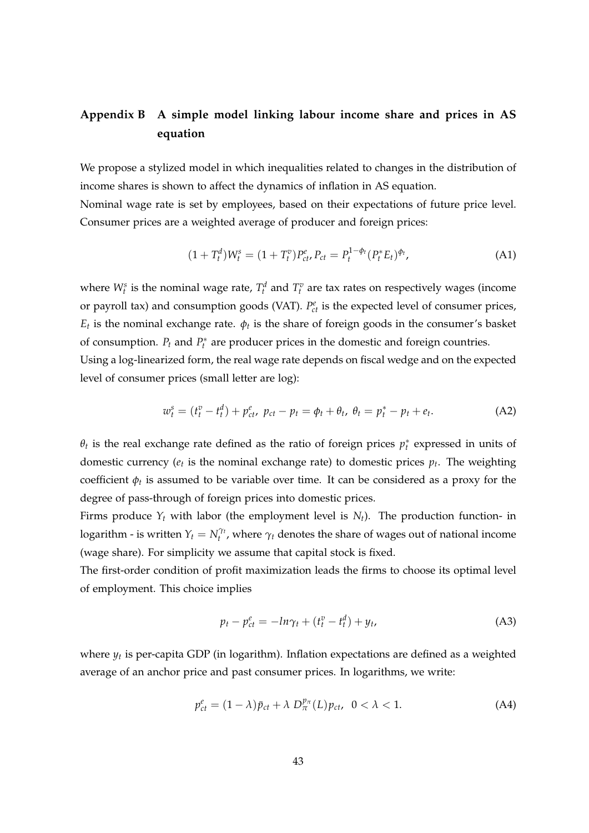### **Appendix B A simple model linking labour income share and prices in AS equation**

We propose a stylized model in which inequalities related to changes in the distribution of income shares is shown to affect the dynamics of inflation in AS equation.

Nominal wage rate is set by employees, based on their expectations of future price level. Consumer prices are a weighted average of producer and foreign prices:

$$
(1+T_t^d)W_t^s = (1+T_t^v)P_{ct}^e, P_{ct} = P_t^{1-\phi_t}(P_t^*E_t)^{\phi_t}, \tag{A1}
$$

where  $W_t^s$  is the nominal wage rate,  $T_t^d$  and  $T_t^v$  are tax rates on respectively wages (income or payroll tax) and consumption goods (VAT).  $P_{ct}^e$  is the expected level of consumer prices, *E*<sup>*t*</sup> is the nominal exchange rate.  $φ$ <sup>*t*</sup> is the share of foreign goods in the consumer's basket of consumption.  $P_t$  and  $P_t^*$  are producer prices in the domestic and foreign countries.

Using a log-linearized form, the real wage rate depends on fiscal wedge and on the expected level of consumer prices (small letter are log):

$$
w_t^s = (t_t^v - t_t^d) + p_{ct}^e, \ p_{ct} - p_t = \phi_t + \theta_t, \ \theta_t = p_t^* - p_t + e_t.
$$
 (A2)

*θ*<sub>*t*</sub> is the real exchange rate defined as the ratio of foreign prices  $p_t^*$  expressed in units of domestic currency ( $e_t$  is the nominal exchange rate) to domestic prices  $p_t$ . The weighting coefficient  $\phi_t$  is assumed to be variable over time. It can be considered as a proxy for the degree of pass-through of foreign prices into domestic prices.

Firms produce  $Y_t$  with labor (the employment level is  $N_t$ ). The production function- in logarithm - is written  $Y_t = N_t^{\gamma_t}$ , where  $\gamma_t$  denotes the share of wages out of national income (wage share). For simplicity we assume that capital stock is fixed.

The first-order condition of profit maximization leads the firms to choose its optimal level of employment. This choice implies

$$
p_t - p_{ct}^e = -\ln \gamma_t + (t_t^v - t_t^d) + y_t,\tag{A3}
$$

where *y<sup>t</sup>* is per-capita GDP (in logarithm). Inflation expectations are defined as a weighted average of an anchor price and past consumer prices. In logarithms, we write:

$$
p_{ct}^{e} = (1 - \lambda)\bar{p}_{ct} + \lambda D_{\pi}^{p_{\pi}}(L)p_{ct}, \quad 0 < \lambda < 1. \tag{A4}
$$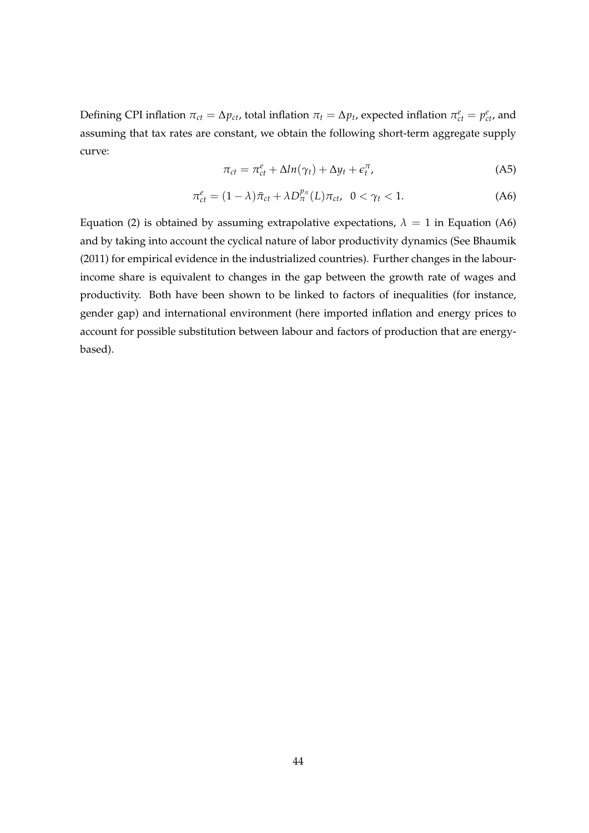Defining CPI inflation  $\pi_{ct} = \Delta p_{ct}$ , total inflation  $\pi_t = \Delta p_t$ , expected inflation  $\pi_{ct}^e = p_{ct}^e$ , and assuming that tax rates are constant, we obtain the following short-term aggregate supply curve:

$$
\pi_{ct} = \pi_{ct}^e + \Delta ln(\gamma_t) + \Delta y_t + \epsilon_t^{\pi}, \tag{A5}
$$

$$
\pi_{ct}^e = (1 - \lambda)\bar{\pi}_{ct} + \lambda D_{\pi}^{p_{\pi}}(L)\pi_{ct}, \quad 0 < \gamma_t < 1. \tag{A6}
$$

Equation (2) is obtained by assuming extrapolative expectations,  $\lambda = 1$  in Equation (A6) and by taking into account the cyclical nature of labor productivity dynamics (See Bhaumik (2011) for empirical evidence in the industrialized countries). Further changes in the labourincome share is equivalent to changes in the gap between the growth rate of wages and productivity. Both have been shown to be linked to factors of inequalities (for instance, gender gap) and international environment (here imported inflation and energy prices to account for possible substitution between labour and factors of production that are energybased).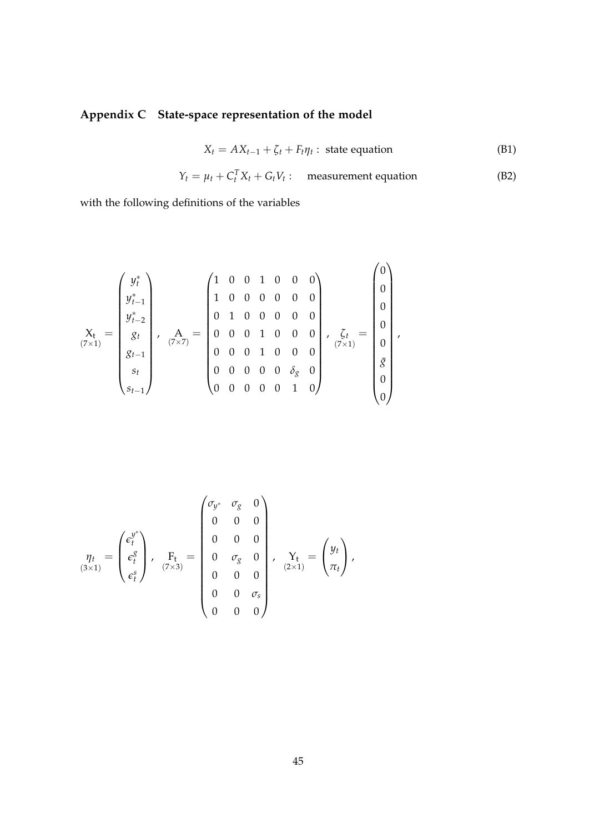# **Appendix C State-space representation of the model**

$$
X_t = AX_{t-1} + \zeta_t + F_t \eta_t : \text{ state equation} \tag{B1}
$$

$$
Y_t = \mu_t + C_t^T X_t + G_t V_t: \quad \text{measurement equation} \tag{B2}
$$

with the following definitions of the variables

$$
\mathbf{X}_{\mathsf{t}} = \begin{pmatrix} y_{t}^{*} \\ y_{t-1}^{*} \\ y_{t-2}^{*} \\ g_{t} \\ g_{t-1} \\ g_{t} \\ g_{t-1} \end{pmatrix}, \quad \mathbf{A}_{(7 \times 7)} = \begin{pmatrix} 1 & 0 & 0 & 1 & 0 & 0 & 0 \\ 1 & 0 & 0 & 0 & 0 & 0 & 0 \\ 0 & 1 & 0 & 0 & 0 & 0 & 0 \\ 0 & 0 & 0 & 1 & 0 & 0 & 0 \\ 0 & 0 & 0 & 1 & 0 & 0 & 0 \\ 0 & 0 & 0 & 0 & 0 & \delta_{g} & 0 \\ 0 & 0 & 0 & 0 & 0 & 1 & 0 \end{pmatrix}, \quad \mathbf{G}_{t} = \begin{pmatrix} 0 \\ 0 \\ 0 \\ 0 \\ 0 \\ \delta \\ 0 \\ 0 \end{pmatrix},
$$

$$
\eta_t = \begin{pmatrix} \epsilon_t^{y^*} & \eta_s & 0 \\ \epsilon_t^g & \epsilon_t^g \\ \epsilon_t^s \end{pmatrix}, \quad \mathbf{F}_t = \begin{pmatrix} \sigma_{y^*} & \sigma_g & 0 \\ 0 & 0 & 0 \\ 0 & \sigma_g & 0 \\ 0 & 0 & 0 \\ 0 & 0 & 0 \\ 0 & 0 & 0 \end{pmatrix}, \quad \mathbf{Y}_t = \begin{pmatrix} y_t \\ \tau_t \\ \tau_t \end{pmatrix},
$$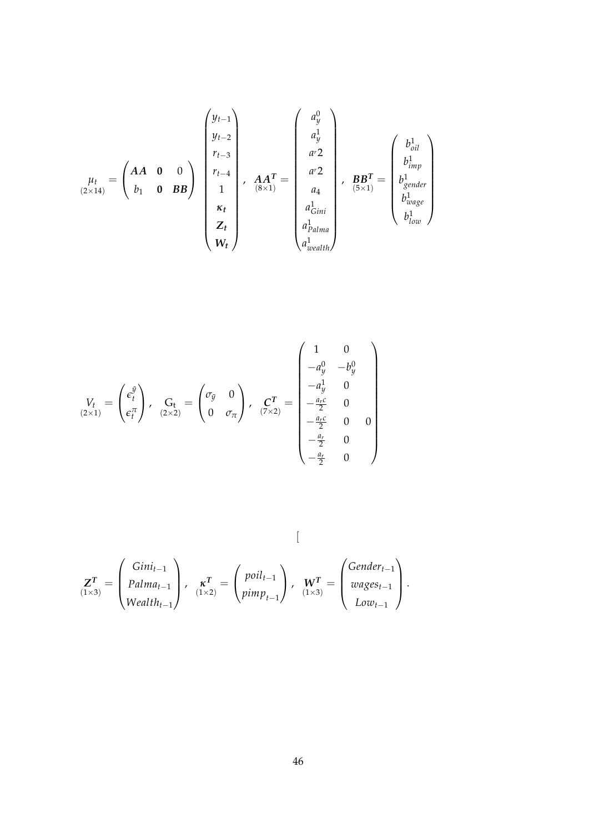$$
\mu_{t} = \begin{pmatrix} AA & 0 & 0 \\ b_1 & 0 & BB \end{pmatrix} \begin{pmatrix} y_{t-1} \\ y_{t-2} \\ r_{t-3} \\ 1 \\ 1 \\ r_t \\ R_t \\ R_t \\ W_t \end{pmatrix}, \quad \begin{matrix} A A^T \\ A A^T \\ A A^T \\ B A^T \\ A \\ d_{Gini} \\ d_{Dalama} \\ d_{Dalama} \\ d_{Dalamb} \\ d_{Dalamb} \\ d_{Dalamb} \\ d_{Dalamb} \\ d_{Dhamb} \\ d_{Dhamb} \\ d_{Dhamb} \end{matrix}, \quad \begin{matrix} b_{oil}^1 \\ b_{oil}^1 \\ b_{imp}^1 \\ b_{loop}^1 \\ b_{loop}^1 \\ b_{loop}^1 \\ h_{low}^1 \end{matrix}
$$

$$
V_t = \begin{pmatrix} e_t^{\tilde{y}} \\ e_t^{\pi} \end{pmatrix}, \quad G_t = \begin{pmatrix} \sigma_{\tilde{y}} & 0 \\ 0 & \sigma_{\pi} \end{pmatrix}, \quad \mathbf{C}^T = \begin{pmatrix} 1 & 0 \\ -a_y^0 & -b_y^0 \\ -a_y^1 & 0 \\ -\frac{a_r c}{2} & 0 \\ -\frac{a_r c}{2} & 0 & 0 \\ -\frac{a_r}{2} & 0 & 0 \\ -\frac{a_r}{2} & 0 & 0 \end{pmatrix}
$$

$$
\mathbf{Z}^T_{(1\times3)} = \begin{pmatrix} Gini_{t-1} \\ Palma_{t-1} \\ Wealth_{t-1} \end{pmatrix}, \quad \mathbf{x}^T_{(1\times2)} = \begin{pmatrix} point_{t-1} \\ pini_{t-1} \\ pimp_{t-1} \end{pmatrix}, \quad \mathbf{W}^T_{(1\times3)} = \begin{pmatrix} Gender_{t-1} \\ wages_{t-1} \\ Low_{t-1} \end{pmatrix}.
$$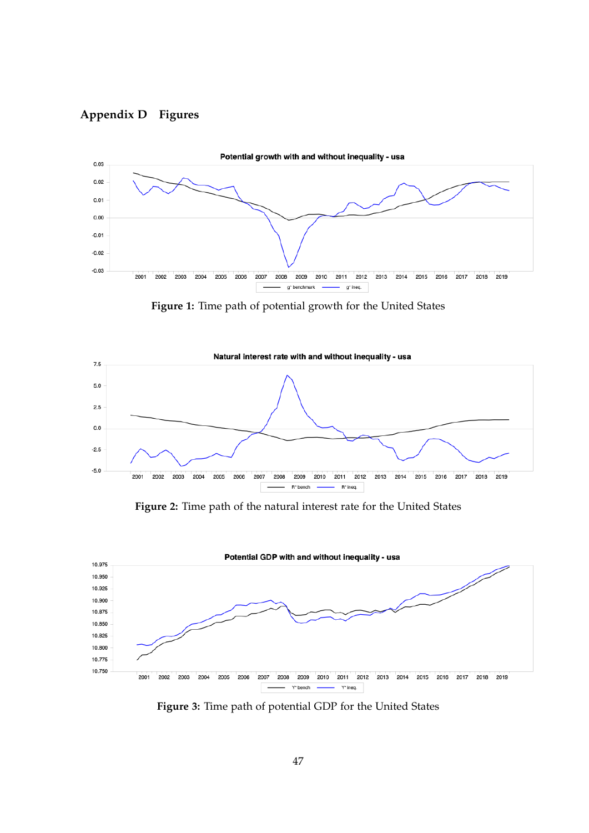



**Figure 1:** Time path of potential growth for the United States



**Figure 2:** Time path of the natural interest rate for the United States



**Figure 3:** Time path of potential GDP for the United States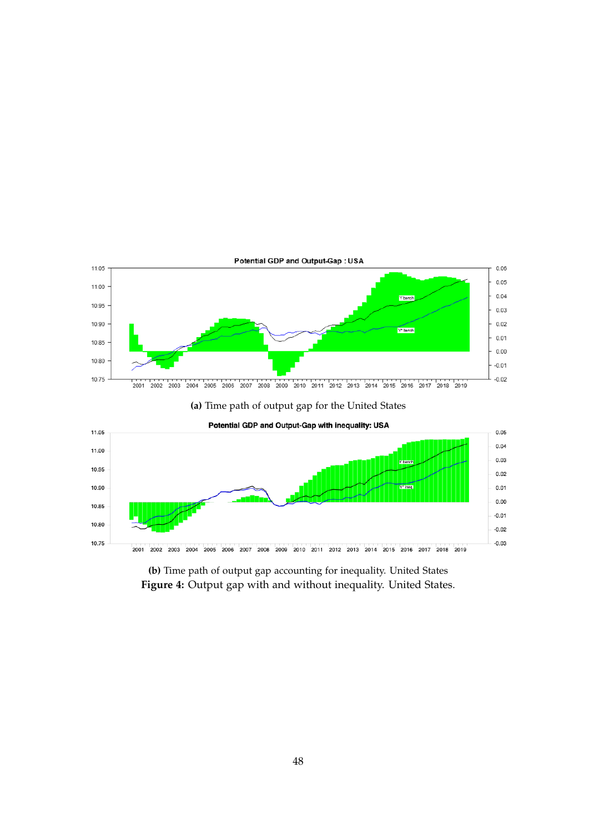





**(b)** Time path of output gap accounting for inequality. United States **Figure 4:** Output gap with and without inequality. United States.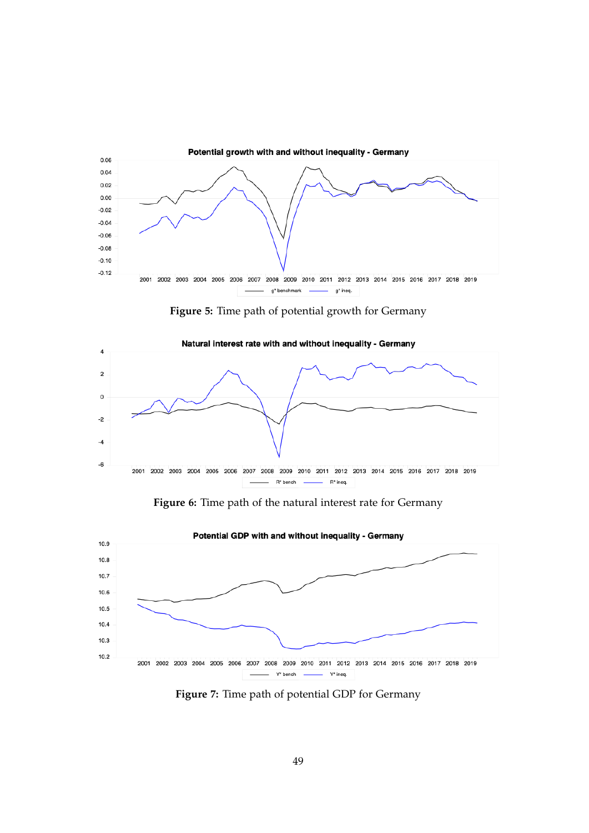

**Figure 5:** Time path of potential growth for Germany



**Figure 6:** Time path of the natural interest rate for Germany



**Figure 7:** Time path of potential GDP for Germany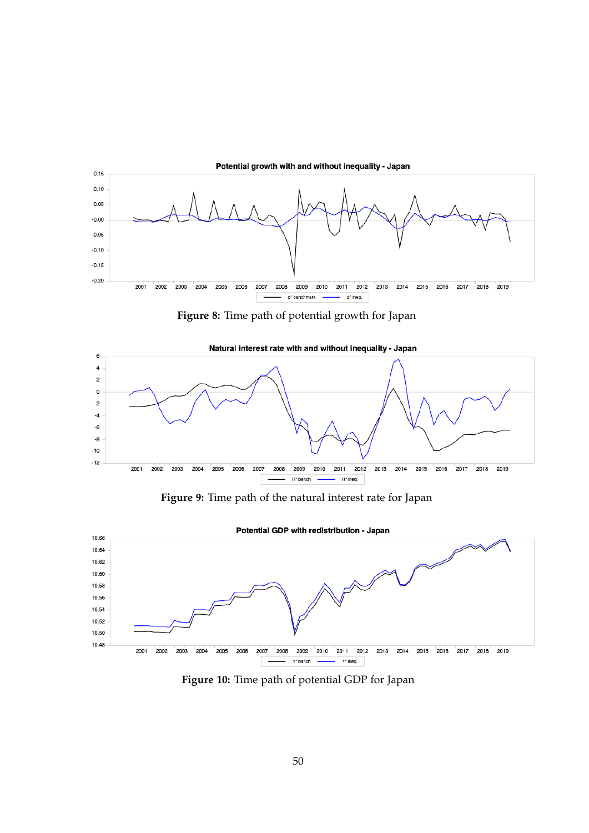

**Figure 8:** Time path of potential growth for Japan



**Figure 9:** Time path of the natural interest rate for Japan



**Figure 10:** Time path of potential GDP for Japan